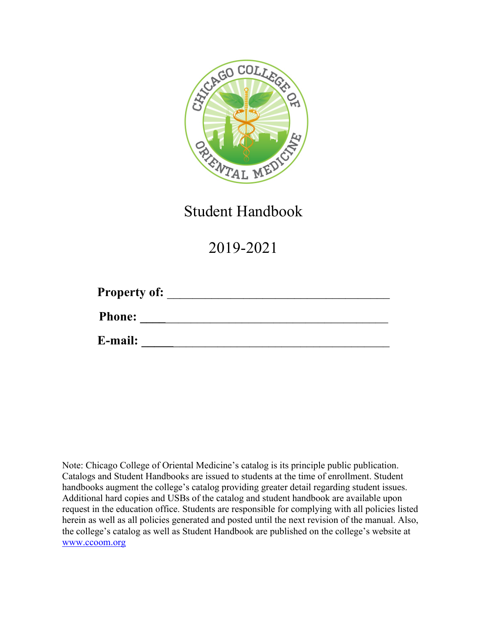

Student Handbook

2019-2021

| <b>Property of:</b> |  |  |
|---------------------|--|--|
| <b>Phone:</b>       |  |  |
| E-mail:             |  |  |

Note: Chicago College of Oriental Medicine's catalog is its principle public publication. Catalogs and Student Handbooks are issued to students at the time of enrollment. Student handbooks augment the college's catalog providing greater detail regarding student issues. Additional hard copies and USBs of the catalog and student handbook are available upon request in the education office. Students are responsible for complying with all policies listed herein as well as all policies generated and posted until the next revision of the manual. Also, the college's catalog as well as Student Handbook are published on the college's website at www.ccoom.org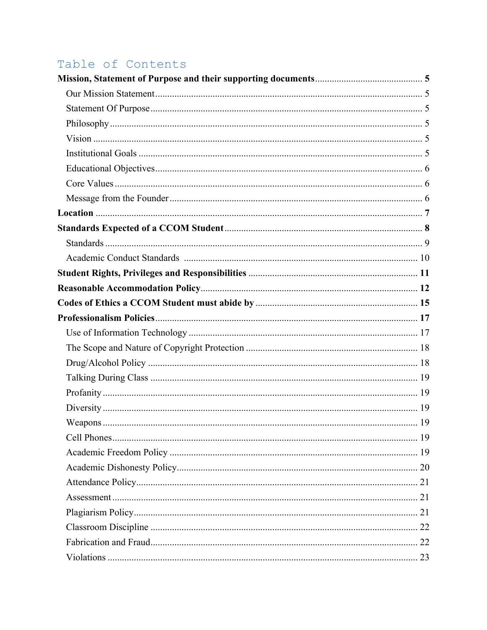# Table of Contents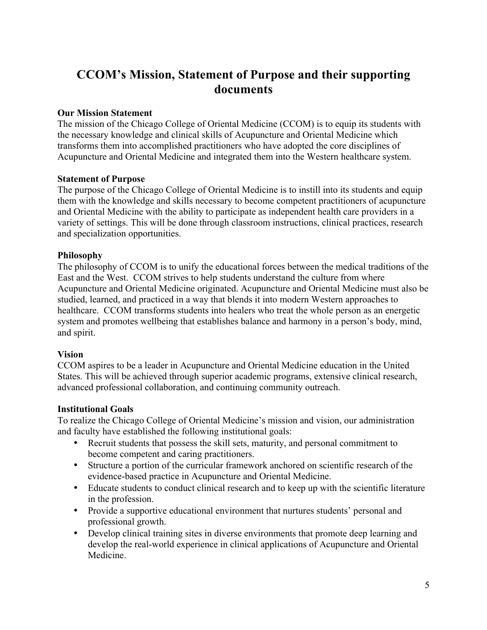# **CCOM's Mission, Statement of Purpose and their supporting documents**

#### **Our Mission Statement**

The mission of the Chicago College of Oriental Medicine (CCOM) is to equip its students with the necessary knowledge and clinical skills of Acupuncture and Oriental Medicine which transforms them into accomplished practitioners who have adopted the core disciplines of Acupuncture and Oriental Medicine and integrated them into the Western healthcare system.

#### **Statement of Purpose**

The purpose of the Chicago College of Oriental Medicine is to instill into its students and equip them with the knowledge and skills necessary to become competent practitioners of acupuncture and Oriental Medicine with the ability to participate as independent health care providers in a variety of settings. This will be done through classroom instructions, clinical practices, research and specialization opportunities.

#### **Philosophy**

The philosophy of CCOM is to unify the educational forces between the medical traditions of the East and the West. CCOM strives to help students understand the culture from where Acupuncture and Oriental Medicine originated. Acupuncture and Oriental Medicine must also be studied, learned, and practiced in a way that blends it into modern Western approaches to healthcare. CCOM transforms students into healers who treat the whole person as an energetic system and promotes wellbeing that establishes balance and harmony in a person's body, mind, and spirit.

#### **Vision**

CCOM aspires to be a leader in Acupuncture and Oriental Medicine education in the United States. This will be achieved through superior academic programs, extensive clinical research, advanced professional collaboration, and continuing community outreach.

#### **Institutional Goals**

To realize the Chicago College of Oriental Medicine's mission and vision, our administration and faculty have established the following institutional goals:

- Recruit students that possess the skill sets, maturity, and personal commitment to become competent and caring practitioners.
- Structure a portion of the curricular framework anchored on scientific research of the evidence-based practice in Acupuncture and Oriental Medicine.
- Educate students to conduct clinical research and to keep up with the scientific literature in the profession.
- Provide a supportive educational environment that nurtures students' personal and professional growth.
- Develop clinical training sites in diverse environments that promote deep learning and develop the real-world experience in clinical applications of Acupuncture and Oriental Medicine.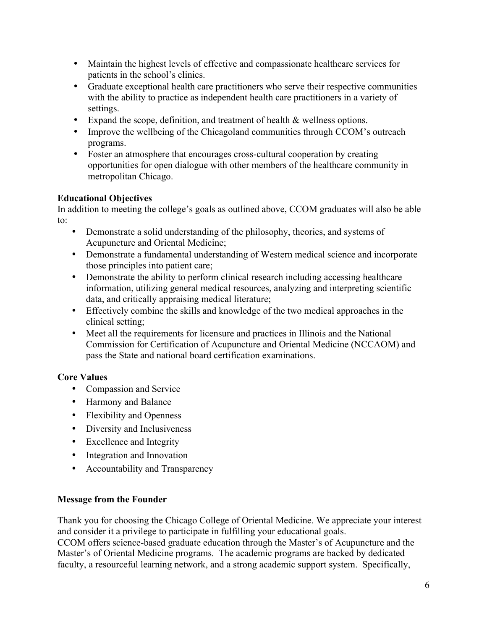- Maintain the highest levels of effective and compassionate healthcare services for patients in the school's clinics.
- Graduate exceptional health care practitioners who serve their respective communities with the ability to practice as independent health care practitioners in a variety of settings.
- Expand the scope, definition, and treatment of health & wellness options.
- Improve the wellbeing of the Chicagoland communities through CCOM's outreach programs.
- Foster an atmosphere that encourages cross-cultural cooperation by creating opportunities for open dialogue with other members of the healthcare community in metropolitan Chicago.

#### **Educational Objectives**

In addition to meeting the college's goals as outlined above, CCOM graduates will also be able to:

- Demonstrate a solid understanding of the philosophy, theories, and systems of Acupuncture and Oriental Medicine;
- Demonstrate a fundamental understanding of Western medical science and incorporate those principles into patient care;
- Demonstrate the ability to perform clinical research including accessing healthcare information, utilizing general medical resources, analyzing and interpreting scientific data, and critically appraising medical literature;
- Effectively combine the skills and knowledge of the two medical approaches in the clinical setting;
- Meet all the requirements for licensure and practices in Illinois and the National Commission for Certification of Acupuncture and Oriental Medicine (NCCAOM) and pass the State and national board certification examinations.

### **Core Values**

- Compassion and Service
- Harmony and Balance
- Flexibility and Openness
- Diversity and Inclusiveness
- Excellence and Integrity
- Integration and Innovation
- Accountability and Transparency

### **Message from the Founder**

Thank you for choosing the Chicago College of Oriental Medicine. We appreciate your interest and consider it a privilege to participate in fulfilling your educational goals.

CCOM offers science-based graduate education through the Master's of Acupuncture and the Master's of Oriental Medicine programs. The academic programs are backed by dedicated faculty, a resourceful learning network, and a strong academic support system. Specifically,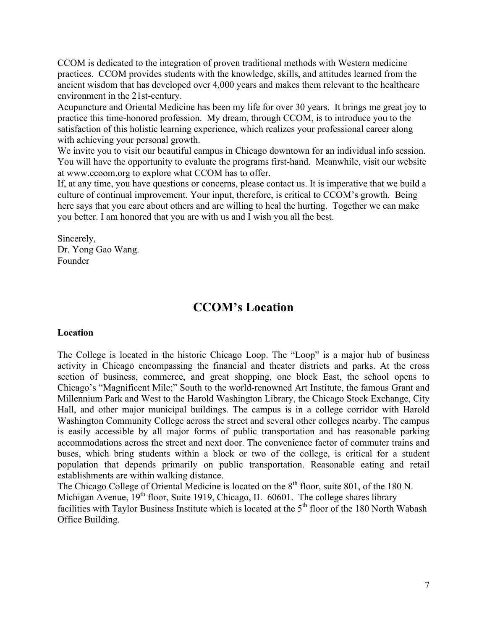CCOM is dedicated to the integration of proven traditional methods with Western medicine practices. CCOM provides students with the knowledge, skills, and attitudes learned from the ancient wisdom that has developed over 4,000 years and makes them relevant to the healthcare environment in the 21st-century.

Acupuncture and Oriental Medicine has been my life for over 30 years. It brings me great joy to practice this time-honored profession. My dream, through CCOM, is to introduce you to the satisfaction of this holistic learning experience, which realizes your professional career along with achieving your personal growth.

We invite you to visit our beautiful campus in Chicago downtown for an individual info session. You will have the opportunity to evaluate the programs first-hand. Meanwhile, visit our website at www.ccoom.org to explore what CCOM has to offer.

If, at any time, you have questions or concerns, please contact us. It is imperative that we build a culture of continual improvement. Your input, therefore, is critical to CCOM's growth. Being here says that you care about others and are willing to heal the hurting. Together we can make you better. I am honored that you are with us and I wish you all the best.

Sincerely, Dr. Yong Gao Wang. Founder

# **CCOM's Location**

#### **Location**

The College is located in the historic Chicago Loop. The "Loop" is a major hub of business activity in Chicago encompassing the financial and theater districts and parks. At the cross section of business, commerce, and great shopping, one block East, the school opens to Chicago's "Magnificent Mile;" South to the world-renowned Art Institute, the famous Grant and Millennium Park and West to the Harold Washington Library, the Chicago Stock Exchange, City Hall, and other major municipal buildings. The campus is in a college corridor with Harold Washington Community College across the street and several other colleges nearby. The campus is easily accessible by all major forms of public transportation and has reasonable parking accommodations across the street and next door. The convenience factor of commuter trains and buses, which bring students within a block or two of the college, is critical for a student population that depends primarily on public transportation. Reasonable eating and retail establishments are within walking distance.

The Chicago College of Oriental Medicine is located on the 8<sup>th</sup> floor, suite 801, of the 180 N. Michigan Avenue, 19<sup>th</sup> floor, Suite 1919, Chicago, IL 60601. The college shares library facilities with Taylor Business Institute which is located at the 5<sup>th</sup> floor of the 180 North Wabash Office Building.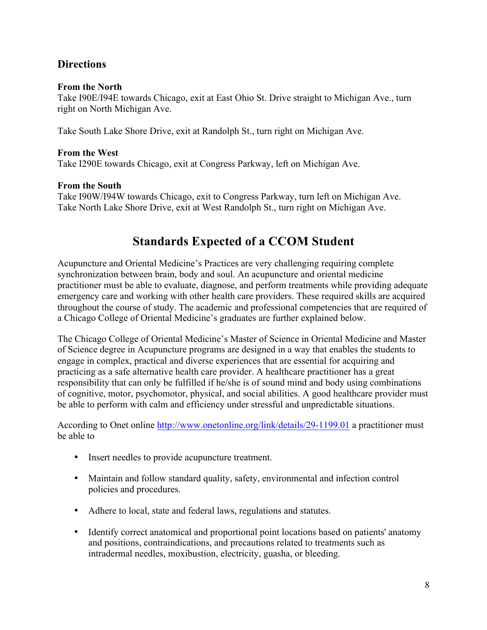## **Directions**

#### **From the North**

Take I90E/I94E towards Chicago, exit at East Ohio St. Drive straight to Michigan Ave., turn right on North Michigan Ave.

Take South Lake Shore Drive, exit at Randolph St., turn right on Michigan Ave.

#### **From the West**

Take I290E towards Chicago, exit at Congress Parkway, left on Michigan Ave.

#### **From the South**

Take I90W/I94W towards Chicago, exit to Congress Parkway, turn left on Michigan Ave. Take North Lake Shore Drive, exit at West Randolph St., turn right on Michigan Ave.

# **Standards Expected of a CCOM Student**

Acupuncture and Oriental Medicine's Practices are very challenging requiring complete synchronization between brain, body and soul. An acupuncture and oriental medicine practitioner must be able to evaluate, diagnose, and perform treatments while providing adequate emergency care and working with other health care providers. These required skills are acquired throughout the course of study. The academic and professional competencies that are required of a Chicago College of Oriental Medicine's graduates are further explained below.

The Chicago College of Oriental Medicine's Master of Science in Oriental Medicine and Master of Science degree in Acupuncture programs are designed in a way that enables the students to engage in complex, practical and diverse experiences that are essential for acquiring and practicing as a safe alternative health care provider. A healthcare practitioner has a great responsibility that can only be fulfilled if he/she is of sound mind and body using combinations of cognitive, motor, psychomotor, physical, and social abilities. A good healthcare provider must be able to perform with calm and efficiency under stressful and unpredictable situations.

According to Onet online http://www.onetonline.org/link/details/29-1199.01 a practitioner must be able to

- Insert needles to provide acupuncture treatment.
- Maintain and follow standard quality, safety, environmental and infection control policies and procedures.
- Adhere to local, state and federal laws, regulations and statutes.
- Identify correct anatomical and proportional point locations based on patients' anatomy and positions, contraindications, and precautions related to treatments such as intradermal needles, moxibustion, electricity, guasha, or bleeding.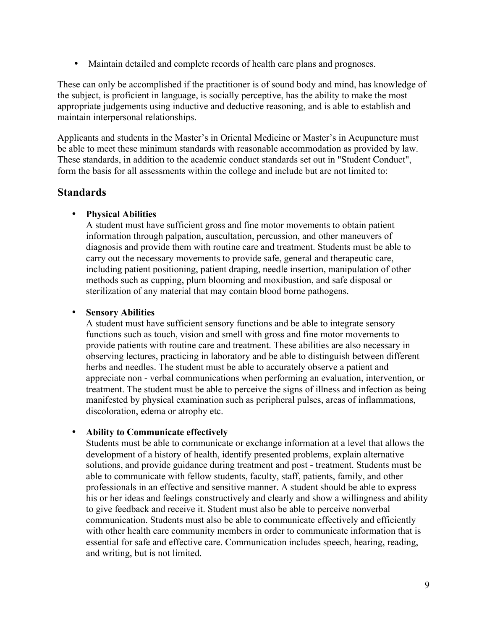• Maintain detailed and complete records of health care plans and prognoses.

These can only be accomplished if the practitioner is of sound body and mind, has knowledge of the subject, is proficient in language, is socially perceptive, has the ability to make the most appropriate judgements using inductive and deductive reasoning, and is able to establish and maintain interpersonal relationships.

Applicants and students in the Master's in Oriental Medicine or Master's in Acupuncture must be able to meet these minimum standards with reasonable accommodation as provided by law. These standards, in addition to the academic conduct standards set out in "Student Conduct", form the basis for all assessments within the college and include but are not limited to:

### **Standards**

#### • **Physical Abilities**

A student must have sufficient gross and fine motor movements to obtain patient information through palpation, auscultation, percussion, and other maneuvers of diagnosis and provide them with routine care and treatment. Students must be able to carry out the necessary movements to provide safe, general and therapeutic care, including patient positioning, patient draping, needle insertion, manipulation of other methods such as cupping, plum blooming and moxibustion, and safe disposal or sterilization of any material that may contain blood borne pathogens.

#### • **Sensory Abilities**

A student must have sufficient sensory functions and be able to integrate sensory functions such as touch, vision and smell with gross and fine motor movements to provide patients with routine care and treatment. These abilities are also necessary in observing lectures, practicing in laboratory and be able to distinguish between different herbs and needles. The student must be able to accurately observe a patient and appreciate non - verbal communications when performing an evaluation, intervention, or treatment. The student must be able to perceive the signs of illness and infection as being manifested by physical examination such as peripheral pulses, areas of inflammations, discoloration, edema or atrophy etc.

#### • **Ability to Communicate effectively**

Students must be able to communicate or exchange information at a level that allows the development of a history of health, identify presented problems, explain alternative solutions, and provide guidance during treatment and post - treatment. Students must be able to communicate with fellow students, faculty, staff, patients, family, and other professionals in an effective and sensitive manner. A student should be able to express his or her ideas and feelings constructively and clearly and show a willingness and ability to give feedback and receive it. Student must also be able to perceive nonverbal communication. Students must also be able to communicate effectively and efficiently with other health care community members in order to communicate information that is essential for safe and effective care. Communication includes speech, hearing, reading, and writing, but is not limited.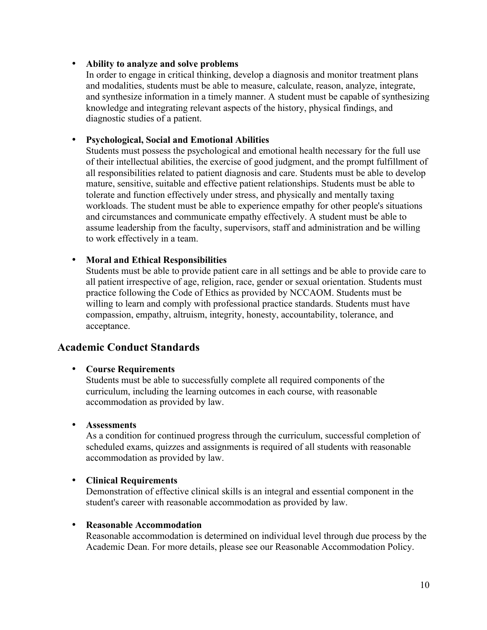#### • **Ability to analyze and solve problems**

In order to engage in critical thinking, develop a diagnosis and monitor treatment plans and modalities, students must be able to measure, calculate, reason, analyze, integrate, and synthesize information in a timely manner. A student must be capable of synthesizing knowledge and integrating relevant aspects of the history, physical findings, and diagnostic studies of a patient.

#### • **Psychological, Social and Emotional Abilities**

Students must possess the psychological and emotional health necessary for the full use of their intellectual abilities, the exercise of good judgment, and the prompt fulfillment of all responsibilities related to patient diagnosis and care. Students must be able to develop mature, sensitive, suitable and effective patient relationships. Students must be able to tolerate and function effectively under stress, and physically and mentally taxing workloads. The student must be able to experience empathy for other people's situations and circumstances and communicate empathy effectively. A student must be able to assume leadership from the faculty, supervisors, staff and administration and be willing to work effectively in a team.

#### • **Moral and Ethical Responsibilities**

Students must be able to provide patient care in all settings and be able to provide care to all patient irrespective of age, religion, race, gender or sexual orientation. Students must practice following the Code of Ethics as provided by NCCAOM. Students must be willing to learn and comply with professional practice standards. Students must have compassion, empathy, altruism, integrity, honesty, accountability, tolerance, and acceptance.

### **Academic Conduct Standards**

#### • **Course Requirements**

Students must be able to successfully complete all required components of the curriculum, including the learning outcomes in each course, with reasonable accommodation as provided by law.

#### • **Assessments**

As a condition for continued progress through the curriculum, successful completion of scheduled exams, quizzes and assignments is required of all students with reasonable accommodation as provided by law.

#### • **Clinical Requirements**

Demonstration of effective clinical skills is an integral and essential component in the student's career with reasonable accommodation as provided by law.

#### • **Reasonable Accommodation**

Reasonable accommodation is determined on individual level through due process by the Academic Dean. For more details, please see our Reasonable Accommodation Policy.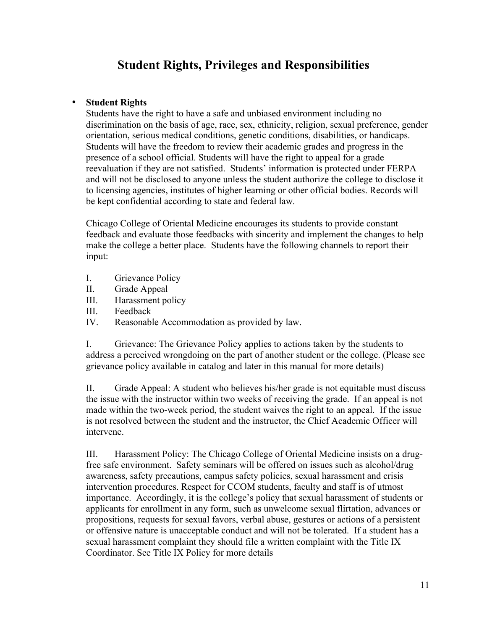# **Student Rights, Privileges and Responsibilities**

#### • **Student Rights**

Students have the right to have a safe and unbiased environment including no discrimination on the basis of age, race, sex, ethnicity, religion, sexual preference, gender orientation, serious medical conditions, genetic conditions, disabilities, or handicaps. Students will have the freedom to review their academic grades and progress in the presence of a school official. Students will have the right to appeal for a grade reevaluation if they are not satisfied. Students' information is protected under FERPA and will not be disclosed to anyone unless the student authorize the college to disclose it to licensing agencies, institutes of higher learning or other official bodies. Records will be kept confidential according to state and federal law.

Chicago College of Oriental Medicine encourages its students to provide constant feedback and evaluate those feedbacks with sincerity and implement the changes to help make the college a better place. Students have the following channels to report their input:

- I. Grievance Policy
- II. Grade Appeal
- III. Harassment policy
- III. Feedback
- IV. Reasonable Accommodation as provided by law.

I. Grievance: The Grievance Policy applies to actions taken by the students to address a perceived wrongdoing on the part of another student or the college. (Please see grievance policy available in catalog and later in this manual for more details)

II. Grade Appeal: A student who believes his/her grade is not equitable must discuss the issue with the instructor within two weeks of receiving the grade. If an appeal is not made within the two-week period, the student waives the right to an appeal. If the issue is not resolved between the student and the instructor, the Chief Academic Officer will intervene.

III. Harassment Policy: The Chicago College of Oriental Medicine insists on a drugfree safe environment. Safety seminars will be offered on issues such as alcohol/drug awareness, safety precautions, campus safety policies, sexual harassment and crisis intervention procedures. Respect for CCOM students, faculty and staff is of utmost importance. Accordingly, it is the college's policy that sexual harassment of students or applicants for enrollment in any form, such as unwelcome sexual flirtation, advances or propositions, requests for sexual favors, verbal abuse, gestures or actions of a persistent or offensive nature is unacceptable conduct and will not be tolerated. If a student has a sexual harassment complaint they should file a written complaint with the Title IX Coordinator. See Title IX Policy for more details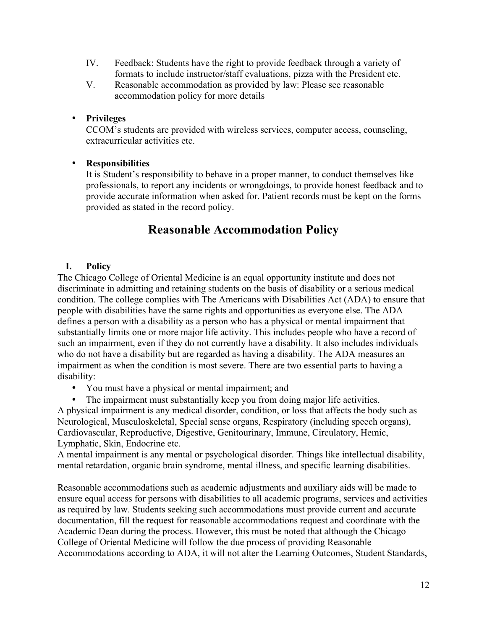- IV. Feedback: Students have the right to provide feedback through a variety of formats to include instructor/staff evaluations, pizza with the President etc.
- V. Reasonable accommodation as provided by law: Please see reasonable accommodation policy for more details

#### • **Privileges**

CCOM's students are provided with wireless services, computer access, counseling, extracurricular activities etc.

#### • **Responsibilities**

It is Student's responsibility to behave in a proper manner, to conduct themselves like professionals, to report any incidents or wrongdoings, to provide honest feedback and to provide accurate information when asked for. Patient records must be kept on the forms provided as stated in the record policy.

## **Reasonable Accommodation Policy**

#### **I. Policy**

The Chicago College of Oriental Medicine is an equal opportunity institute and does not discriminate in admitting and retaining students on the basis of disability or a serious medical condition. The college complies with The Americans with Disabilities Act (ADA) to ensure that people with disabilities have the same rights and opportunities as everyone else. The ADA defines a person with a disability as a person who has a physical or mental impairment that substantially limits one or more major life activity. This includes people who have a record of such an impairment, even if they do not currently have a disability. It also includes individuals who do not have a disability but are regarded as having a disability. The ADA measures an impairment as when the condition is most severe. There are two essential parts to having a disability:

- You must have a physical or mental impairment; and
- The impairment must substantially keep you from doing major life activities.

A physical impairment is any medical disorder, condition, or loss that affects the body such as Neurological, Musculoskeletal, Special sense organs, Respiratory (including speech organs), Cardiovascular, Reproductive, Digestive, Genitourinary, Immune, Circulatory, Hemic, Lymphatic, Skin, Endocrine etc.

A mental impairment is any mental or psychological disorder. Things like intellectual disability, mental retardation, organic brain syndrome, mental illness, and specific learning disabilities.

Reasonable accommodations such as academic adjustments and auxiliary aids will be made to ensure equal access for persons with disabilities to all academic programs, services and activities as required by law. Students seeking such accommodations must provide current and accurate documentation, fill the request for reasonable accommodations request and coordinate with the Academic Dean during the process. However, this must be noted that although the Chicago College of Oriental Medicine will follow the due process of providing Reasonable Accommodations according to ADA, it will not alter the Learning Outcomes, Student Standards,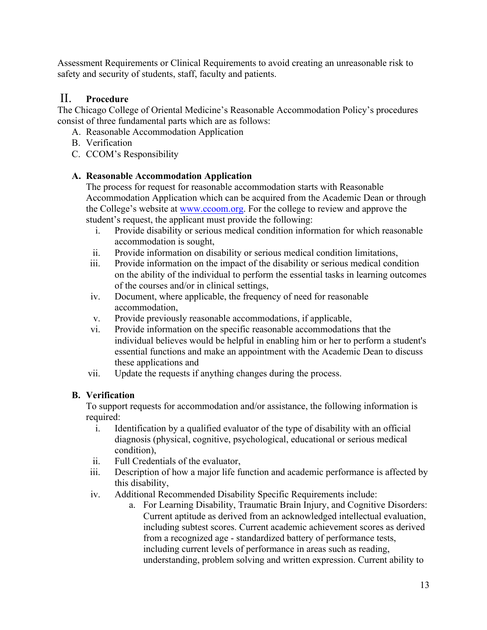Assessment Requirements or Clinical Requirements to avoid creating an unreasonable risk to safety and security of students, staff, faculty and patients.

## II. **Procedure**

The Chicago College of Oriental Medicine's Reasonable Accommodation Policy's procedures consist of three fundamental parts which are as follows:

- A. Reasonable Accommodation Application
- B. Verification
- C. CCOM's Responsibility

#### **A. Reasonable Accommodation Application**

The process for request for reasonable accommodation starts with Reasonable Accommodation Application which can be acquired from the Academic Dean or through the College's website at www.ccoom.org. For the college to review and approve the student's request, the applicant must provide the following:

- i. Provide disability or serious medical condition information for which reasonable accommodation is sought,
- ii. Provide information on disability or serious medical condition limitations,
- iii. Provide information on the impact of the disability or serious medical condition on the ability of the individual to perform the essential tasks in learning outcomes of the courses and/or in clinical settings,
- iv. Document, where applicable, the frequency of need for reasonable accommodation,
- v. Provide previously reasonable accommodations, if applicable,
- vi. Provide information on the specific reasonable accommodations that the individual believes would be helpful in enabling him or her to perform a student's essential functions and make an appointment with the Academic Dean to discuss these applications and
- vii. Update the requests if anything changes during the process.

### **B. Verification**

To support requests for accommodation and/or assistance, the following information is required:

- i. Identification by a qualified evaluator of the type of disability with an official diagnosis (physical, cognitive, psychological, educational or serious medical condition),
- ii. Full Credentials of the evaluator,
- iii. Description of how a major life function and academic performance is affected by this disability,
- iv. Additional Recommended Disability Specific Requirements include:
	- a. For Learning Disability, Traumatic Brain Injury, and Cognitive Disorders: Current aptitude as derived from an acknowledged intellectual evaluation, including subtest scores. Current academic achievement scores as derived from a recognized age - standardized battery of performance tests, including current levels of performance in areas such as reading, understanding, problem solving and written expression. Current ability to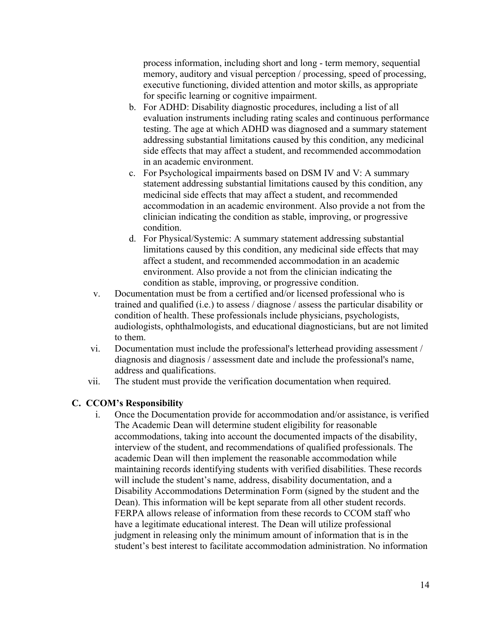process information, including short and long - term memory, sequential memory, auditory and visual perception / processing, speed of processing, executive functioning, divided attention and motor skills, as appropriate for specific learning or cognitive impairment.

- b. For ADHD: Disability diagnostic procedures, including a list of all evaluation instruments including rating scales and continuous performance testing. The age at which ADHD was diagnosed and a summary statement addressing substantial limitations caused by this condition, any medicinal side effects that may affect a student, and recommended accommodation in an academic environment.
- c. For Psychological impairments based on DSM IV and V: A summary statement addressing substantial limitations caused by this condition, any medicinal side effects that may affect a student, and recommended accommodation in an academic environment. Also provide a not from the clinician indicating the condition as stable, improving, or progressive condition.
- d. For Physical/Systemic: A summary statement addressing substantial limitations caused by this condition, any medicinal side effects that may affect a student, and recommended accommodation in an academic environment. Also provide a not from the clinician indicating the condition as stable, improving, or progressive condition.
- v. Documentation must be from a certified and/or licensed professional who is trained and qualified (i.e.) to assess / diagnose / assess the particular disability or condition of health. These professionals include physicians, psychologists, audiologists, ophthalmologists, and educational diagnosticians, but are not limited to them.
- vi. Documentation must include the professional's letterhead providing assessment / diagnosis and diagnosis / assessment date and include the professional's name, address and qualifications.
- vii. The student must provide the verification documentation when required.

### **C. CCOM's Responsibility**

i. Once the Documentation provide for accommodation and/or assistance, is verified The Academic Dean will determine student eligibility for reasonable accommodations, taking into account the documented impacts of the disability, interview of the student, and recommendations of qualified professionals. The academic Dean will then implement the reasonable accommodation while maintaining records identifying students with verified disabilities. These records will include the student's name, address, disability documentation, and a Disability Accommodations Determination Form (signed by the student and the Dean). This information will be kept separate from all other student records. FERPA allows release of information from these records to CCOM staff who have a legitimate educational interest. The Dean will utilize professional judgment in releasing only the minimum amount of information that is in the student's best interest to facilitate accommodation administration. No information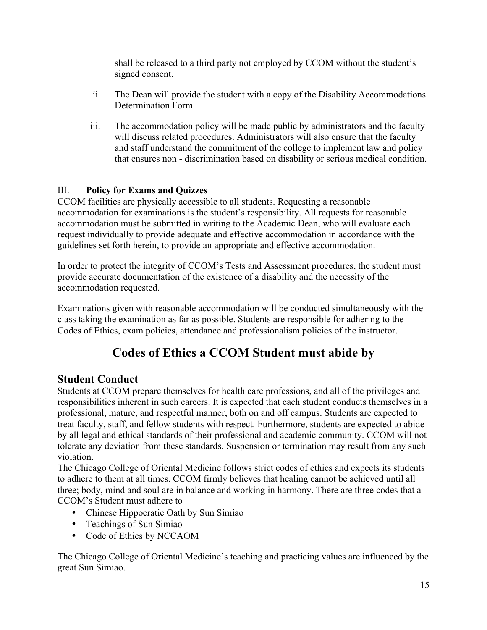shall be released to a third party not employed by CCOM without the student's signed consent.

- ii. The Dean will provide the student with a copy of the Disability Accommodations Determination Form.
- iii. The accommodation policy will be made public by administrators and the faculty will discuss related procedures. Administrators will also ensure that the faculty and staff understand the commitment of the college to implement law and policy that ensures non - discrimination based on disability or serious medical condition.

### III. **Policy for Exams and Quizzes**

CCOM facilities are physically accessible to all students. Requesting a reasonable accommodation for examinations is the student's responsibility. All requests for reasonable accommodation must be submitted in writing to the Academic Dean, who will evaluate each request individually to provide adequate and effective accommodation in accordance with the guidelines set forth herein, to provide an appropriate and effective accommodation.

In order to protect the integrity of CCOM's Tests and Assessment procedures, the student must provide accurate documentation of the existence of a disability and the necessity of the accommodation requested.

Examinations given with reasonable accommodation will be conducted simultaneously with the class taking the examination as far as possible. Students are responsible for adhering to the Codes of Ethics, exam policies, attendance and professionalism policies of the instructor.

# **Codes of Ethics a CCOM Student must abide by**

## **Student Conduct**

Students at CCOM prepare themselves for health care professions, and all of the privileges and responsibilities inherent in such careers. It is expected that each student conducts themselves in a professional, mature, and respectful manner, both on and off campus. Students are expected to treat faculty, staff, and fellow students with respect. Furthermore, students are expected to abide by all legal and ethical standards of their professional and academic community. CCOM will not tolerate any deviation from these standards. Suspension or termination may result from any such violation.

The Chicago College of Oriental Medicine follows strict codes of ethics and expects its students to adhere to them at all times. CCOM firmly believes that healing cannot be achieved until all three; body, mind and soul are in balance and working in harmony. There are three codes that a CCOM's Student must adhere to

- Chinese Hippocratic Oath by Sun Simiao
- Teachings of Sun Simiao
- Code of Ethics by NCCAOM

The Chicago College of Oriental Medicine's teaching and practicing values are influenced by the great Sun Simiao.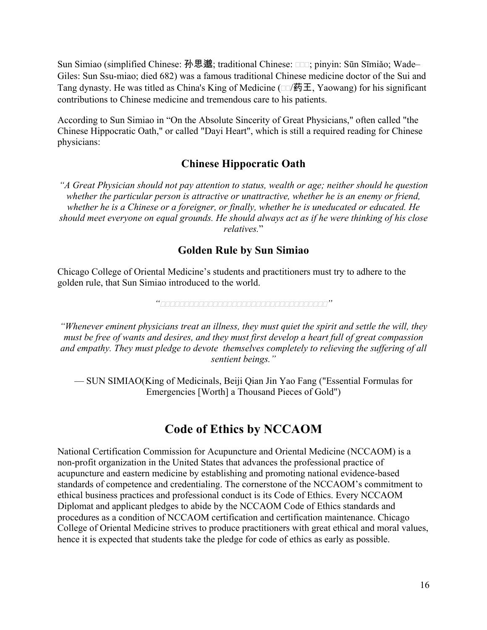Sun Simiao (simplified Chinese: 孙思邈; traditional Chinese: □□□; pinyin: Sūn Sīmiǎo; Wade– Giles: Sun Ssu-miao; died 682) was a famous traditional Chinese medicine doctor of the Sui and Tang dynasty. He was titled as China's King of Medicine ( $\Box$ ) 药王, Yaowang) for his significant contributions to Chinese medicine and tremendous care to his patients.

According to Sun Simiao in "On the Absolute Sincerity of Great Physicians," often called "the Chinese Hippocratic Oath," or called "Dayi Heart", which is still a required reading for Chinese physicians:

### **Chinese Hippocratic Oath**

*"A Great Physician should not pay attention to status, wealth or age; neither should he question whether the particular person is attractive or unattractive, whether he is an enemy or friend, whether he is a Chinese or a foreigner, or finally, whether he is uneducated or educated. He should meet everyone on equal grounds. He should always act as if he were thinking of his close relatives.*"

### **Golden Rule by Sun Simiao**

Chicago College of Oriental Medicine's students and practitioners must try to adhere to the golden rule, that Sun Simiao introduced to the world.

*""*

*"Whenever eminent physicians treat an illness, they must quiet the spirit and settle the will, they must be free of wants and desires, and they must first develop a heart full of great compassion and empathy. They must pledge to devote themselves completely to relieving the suffering of all sentient beings."*

— SUN SIMIAO(King of Medicinals, Beiji Qian Jin Yao Fang ("Essential Formulas for Emergencies [Worth] a Thousand Pieces of Gold")

## **Code of Ethics by NCCAOM**

National Certification Commission for Acupuncture and Oriental Medicine (NCCAOM) is a non-profit organization in the United States that advances the professional practice of acupuncture and eastern medicine by establishing and promoting national evidence-based standards of competence and credentialing. The cornerstone of the NCCAOM's commitment to ethical business practices and professional conduct is its Code of Ethics. Every NCCAOM Diplomat and applicant pledges to abide by the NCCAOM Code of Ethics standards and procedures as a condition of NCCAOM certification and certification maintenance. Chicago College of Oriental Medicine strives to produce practitioners with great ethical and moral values, hence it is expected that students take the pledge for code of ethics as early as possible.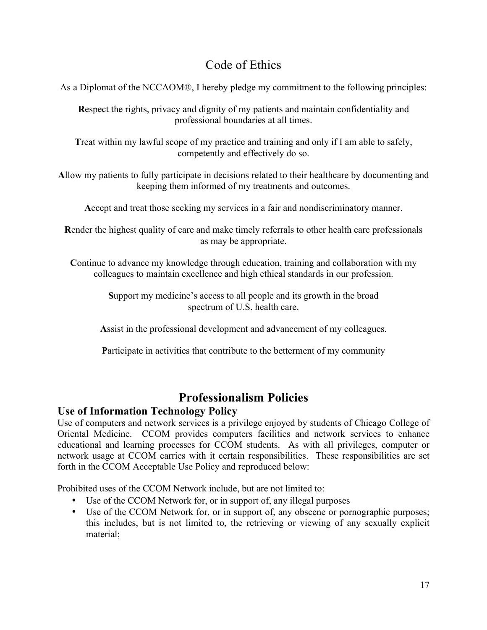# Code of Ethics

As a Diplomat of the NCCAOM®, I hereby pledge my commitment to the following principles:

**R**espect the rights, privacy and dignity of my patients and maintain confidentiality and professional boundaries at all times.

**T**reat within my lawful scope of my practice and training and only if I am able to safely, competently and effectively do so.

**A**llow my patients to fully participate in decisions related to their healthcare by documenting and keeping them informed of my treatments and outcomes.

**A**ccept and treat those seeking my services in a fair and nondiscriminatory manner.

**R**ender the highest quality of care and make timely referrals to other health care professionals as may be appropriate.

Continue to advance my knowledge through education, training and collaboration with my colleagues to maintain excellence and high ethical standards in our profession.

> **S**upport my medicine's access to all people and its growth in the broad spectrum of U.S. health care.

**A**ssist in the professional development and advancement of my colleagues.

**P**articipate in activities that contribute to the betterment of my community

# **Professionalism Policies**

### **Use of Information Technology Policy**

Use of computers and network services is a privilege enjoyed by students of Chicago College of Oriental Medicine. CCOM provides computers facilities and network services to enhance educational and learning processes for CCOM students. As with all privileges, computer or network usage at CCOM carries with it certain responsibilities. These responsibilities are set forth in the CCOM Acceptable Use Policy and reproduced below:

Prohibited uses of the CCOM Network include, but are not limited to:

- Use of the CCOM Network for, or in support of, any illegal purposes
- Use of the CCOM Network for, or in support of, any obscene or pornographic purposes; this includes, but is not limited to, the retrieving or viewing of any sexually explicit material;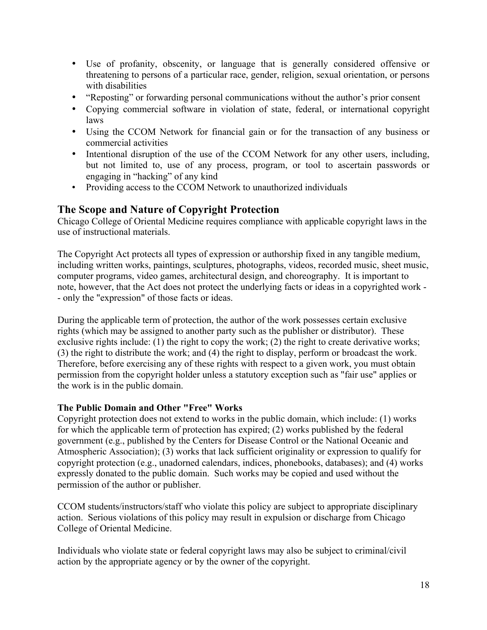- Use of profanity, obscenity, or language that is generally considered offensive or threatening to persons of a particular race, gender, religion, sexual orientation, or persons with disabilities
- "Reposting" or forwarding personal communications without the author's prior consent
- Copying commercial software in violation of state, federal, or international copyright laws
- Using the CCOM Network for financial gain or for the transaction of any business or commercial activities
- Intentional disruption of the use of the CCOM Network for any other users, including, but not limited to, use of any process, program, or tool to ascertain passwords or engaging in "hacking" of any kind
- Providing access to the CCOM Network to unauthorized individuals

### **The Scope and Nature of Copyright Protection**

Chicago College of Oriental Medicine requires compliance with applicable copyright laws in the use of instructional materials.

The Copyright Act protects all types of expression or authorship fixed in any tangible medium, including written works, paintings, sculptures, photographs, videos, recorded music, sheet music, computer programs, video games, architectural design, and choreography. It is important to note, however, that the Act does not protect the underlying facts or ideas in a copyrighted work - - only the "expression" of those facts or ideas.

During the applicable term of protection, the author of the work possesses certain exclusive rights (which may be assigned to another party such as the publisher or distributor). These exclusive rights include: (1) the right to copy the work; (2) the right to create derivative works; (3) the right to distribute the work; and (4) the right to display, perform or broadcast the work. Therefore, before exercising any of these rights with respect to a given work, you must obtain permission from the copyright holder unless a statutory exception such as "fair use" applies or the work is in the public domain.

#### **The Public Domain and Other "Free" Works**

Copyright protection does not extend to works in the public domain, which include: (1) works for which the applicable term of protection has expired; (2) works published by the federal government (e.g., published by the Centers for Disease Control or the National Oceanic and Atmospheric Association); (3) works that lack sufficient originality or expression to qualify for copyright protection (e.g., unadorned calendars, indices, phonebooks, databases); and (4) works expressly donated to the public domain. Such works may be copied and used without the permission of the author or publisher.

CCOM students/instructors/staff who violate this policy are subject to appropriate disciplinary action. Serious violations of this policy may result in expulsion or discharge from Chicago College of Oriental Medicine.

Individuals who violate state or federal copyright laws may also be subject to criminal/civil action by the appropriate agency or by the owner of the copyright.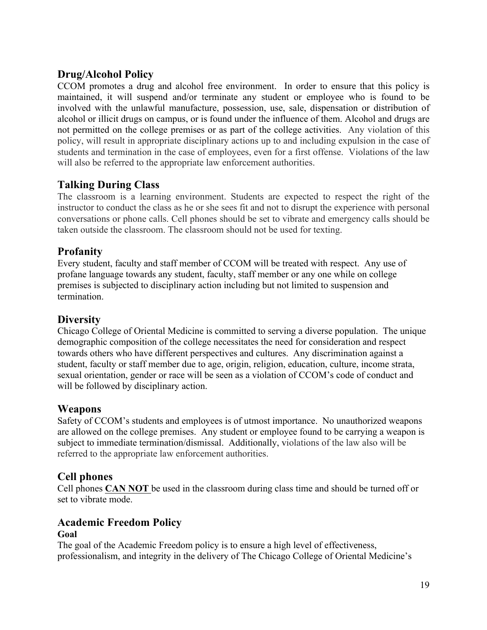## **Drug/Alcohol Policy**

CCOM promotes a drug and alcohol free environment. In order to ensure that this policy is maintained, it will suspend and/or terminate any student or employee who is found to be involved with the unlawful manufacture, possession, use, sale, dispensation or distribution of alcohol or illicit drugs on campus, or is found under the influence of them. Alcohol and drugs are not permitted on the college premises or as part of the college activities. Any violation of this policy, will result in appropriate disciplinary actions up to and including expulsion in the case of students and termination in the case of employees, even for a first offense. Violations of the law will also be referred to the appropriate law enforcement authorities.

### **Talking During Class**

The classroom is a learning environment. Students are expected to respect the right of the instructor to conduct the class as he or she sees fit and not to disrupt the experience with personal conversations or phone calls. Cell phones should be set to vibrate and emergency calls should be taken outside the classroom. The classroom should not be used for texting.

### **Profanity**

Every student, faculty and staff member of CCOM will be treated with respect. Any use of profane language towards any student, faculty, staff member or any one while on college premises is subjected to disciplinary action including but not limited to suspension and termination.

### **Diversity**

Chicago College of Oriental Medicine is committed to serving a diverse population. The unique demographic composition of the college necessitates the need for consideration and respect towards others who have different perspectives and cultures. Any discrimination against a student, faculty or staff member due to age, origin, religion, education, culture, income strata, sexual orientation, gender or race will be seen as a violation of CCOM's code of conduct and will be followed by disciplinary action.

### **Weapons**

Safety of CCOM's students and employees is of utmost importance. No unauthorized weapons are allowed on the college premises. Any student or employee found to be carrying a weapon is subject to immediate termination/dismissal. Additionally, violations of the law also will be referred to the appropriate law enforcement authorities.

### **Cell phones**

Cell phones **CAN NOT** be used in the classroom during class time and should be turned off or set to vibrate mode.

# **Academic Freedom Policy**

#### **Goal**

The goal of the Academic Freedom policy is to ensure a high level of effectiveness, professionalism, and integrity in the delivery of The Chicago College of Oriental Medicine's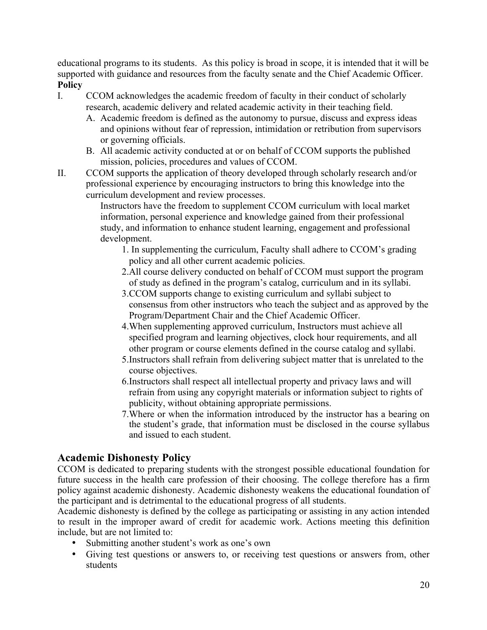educational programs to its students. As this policy is broad in scope, it is intended that it will be supported with guidance and resources from the faculty senate and the Chief Academic Officer. **Policy**

- I. CCOM acknowledges the academic freedom of faculty in their conduct of scholarly research, academic delivery and related academic activity in their teaching field.
	- A. Academic freedom is defined as the autonomy to pursue, discuss and express ideas and opinions without fear of repression, intimidation or retribution from supervisors or governing officials.
	- B. All academic activity conducted at or on behalf of CCOM supports the published mission, policies, procedures and values of CCOM.
- II. CCOM supports the application of theory developed through scholarly research and/or professional experience by encouraging instructors to bring this knowledge into the curriculum development and review processes.

Instructors have the freedom to supplement CCOM curriculum with local market information, personal experience and knowledge gained from their professional study, and information to enhance student learning, engagement and professional development.

1. In supplementing the curriculum, Faculty shall adhere to CCOM's grading policy and all other current academic policies.

- 2.All course delivery conducted on behalf of CCOM must support the program of study as defined in the program's catalog, curriculum and in its syllabi.
- 3.CCOM supports change to existing curriculum and syllabi subject to consensus from other instructors who teach the subject and as approved by the Program/Department Chair and the Chief Academic Officer.
- 4.When supplementing approved curriculum, Instructors must achieve all specified program and learning objectives, clock hour requirements, and all other program or course elements defined in the course catalog and syllabi.
- 5.Instructors shall refrain from delivering subject matter that is unrelated to the course objectives.
- 6.Instructors shall respect all intellectual property and privacy laws and will refrain from using any copyright materials or information subject to rights of publicity, without obtaining appropriate permissions.
- 7.Where or when the information introduced by the instructor has a bearing on the student's grade, that information must be disclosed in the course syllabus and issued to each student.

### **Academic Dishonesty Policy**

CCOM is dedicated to preparing students with the strongest possible educational foundation for future success in the health care profession of their choosing. The college therefore has a firm policy against academic dishonesty. Academic dishonesty weakens the educational foundation of the participant and is detrimental to the educational progress of all students.

Academic dishonesty is defined by the college as participating or assisting in any action intended to result in the improper award of credit for academic work. Actions meeting this definition include, but are not limited to:

- Submitting another student's work as one's own
- Giving test questions or answers to, or receiving test questions or answers from, other students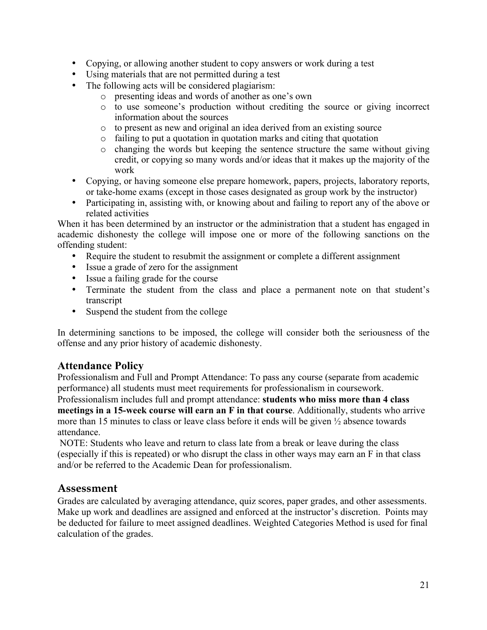- Copying, or allowing another student to copy answers or work during a test
- Using materials that are not permitted during a test
- The following acts will be considered plagiarism:
	- o presenting ideas and words of another as one's own
	- o to use someone's production without crediting the source or giving incorrect information about the sources
	- o to present as new and original an idea derived from an existing source
	- o failing to put a quotation in quotation marks and citing that quotation
	- o changing the words but keeping the sentence structure the same without giving credit, or copying so many words and/or ideas that it makes up the majority of the work
- Copying, or having someone else prepare homework, papers, projects, laboratory reports, or take-home exams (except in those cases designated as group work by the instructor)
- Participating in, assisting with, or knowing about and failing to report any of the above or related activities

When it has been determined by an instructor or the administration that a student has engaged in academic dishonesty the college will impose one or more of the following sanctions on the offending student:

- Require the student to resubmit the assignment or complete a different assignment
- Issue a grade of zero for the assignment
- Issue a failing grade for the course
- Terminate the student from the class and place a permanent note on that student's transcript
- Suspend the student from the college

In determining sanctions to be imposed, the college will consider both the seriousness of the offense and any prior history of academic dishonesty.

### **Attendance Policy**

Professionalism and Full and Prompt Attendance: To pass any course (separate from academic performance) all students must meet requirements for professionalism in coursework.

Professionalism includes full and prompt attendance: **students who miss more than 4 class meetings in a 15-week course will earn an F in that course**. Additionally, students who arrive more than 15 minutes to class or leave class before it ends will be given ½ absence towards attendance.

NOTE: Students who leave and return to class late from a break or leave during the class (especially if this is repeated) or who disrupt the class in other ways may earn an F in that class and/or be referred to the Academic Dean for professionalism.

### **Assessment**

Grades are calculated by averaging attendance, quiz scores, paper grades, and other assessments. Make up work and deadlines are assigned and enforced at the instructor's discretion. Points may be deducted for failure to meet assigned deadlines. Weighted Categories Method is used for final calculation of the grades.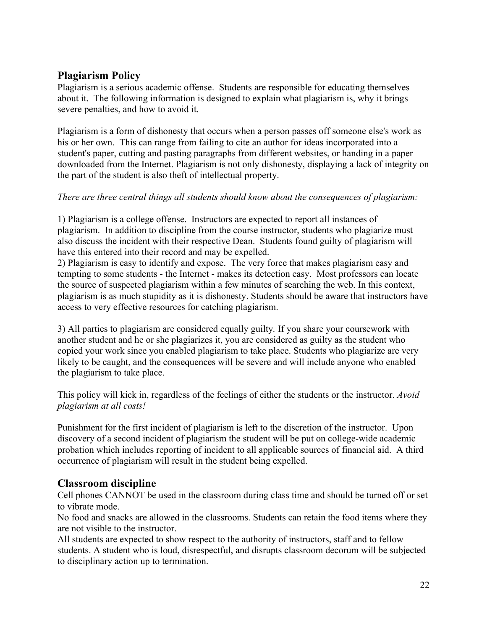## **Plagiarism Policy**

Plagiarism is a serious academic offense. Students are responsible for educating themselves about it. The following information is designed to explain what plagiarism is, why it brings severe penalties, and how to avoid it.

Plagiarism is a form of dishonesty that occurs when a person passes off someone else's work as his or her own. This can range from failing to cite an author for ideas incorporated into a student's paper, cutting and pasting paragraphs from different websites, or handing in a paper downloaded from the Internet. Plagiarism is not only dishonesty, displaying a lack of integrity on the part of the student is also theft of intellectual property.

### *There are three central things all students should know about the consequences of plagiarism:*

1) Plagiarism is a college offense. Instructors are expected to report all instances of plagiarism. In addition to discipline from the course instructor, students who plagiarize must also discuss the incident with their respective Dean. Students found guilty of plagiarism will have this entered into their record and may be expelled.

2) Plagiarism is easy to identify and expose. The very force that makes plagiarism easy and tempting to some students - the Internet - makes its detection easy. Most professors can locate the source of suspected plagiarism within a few minutes of searching the web. In this context, plagiarism is as much stupidity as it is dishonesty. Students should be aware that instructors have access to very effective resources for catching plagiarism.

3) All parties to plagiarism are considered equally guilty*.* If you share your coursework with another student and he or she plagiarizes it, you are considered as guilty as the student who copied your work since you enabled plagiarism to take place. Students who plagiarize are very likely to be caught, and the consequences will be severe and will include anyone who enabled the plagiarism to take place.

This policy will kick in, regardless of the feelings of either the students or the instructor. *Avoid plagiarism at all costs!*

Punishment for the first incident of plagiarism is left to the discretion of the instructor. Upon discovery of a second incident of plagiarism the student will be put on college-wide academic probation which includes reporting of incident to all applicable sources of financial aid. A third occurrence of plagiarism will result in the student being expelled.

### **Classroom discipline**

Cell phones CANNOT be used in the classroom during class time and should be turned off or set to vibrate mode.

No food and snacks are allowed in the classrooms. Students can retain the food items where they are not visible to the instructor.

All students are expected to show respect to the authority of instructors, staff and to fellow students. A student who is loud, disrespectful, and disrupts classroom decorum will be subjected to disciplinary action up to termination.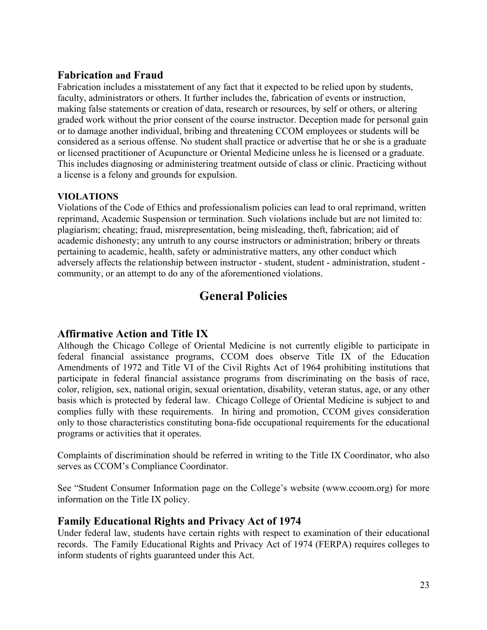### **Fabrication and Fraud**

Fabrication includes a misstatement of any fact that it expected to be relied upon by students, faculty, administrators or others. It further includes the, fabrication of events or instruction, making false statements or creation of data, research or resources, by self or others, or altering graded work without the prior consent of the course instructor. Deception made for personal gain or to damage another individual, bribing and threatening CCOM employees or students will be considered as a serious offense. No student shall practice or advertise that he or she is a graduate or licensed practitioner of Acupuncture or Oriental Medicine unless he is licensed or a graduate. This includes diagnosing or administering treatment outside of class or clinic. Practicing without a license is a felony and grounds for expulsion.

#### **VIOLATIONS**

Violations of the Code of Ethics and professionalism policies can lead to oral reprimand, written reprimand, Academic Suspension or termination. Such violations include but are not limited to: plagiarism; cheating; fraud, misrepresentation, being misleading, theft, fabrication; aid of academic dishonesty; any untruth to any course instructors or administration; bribery or threats pertaining to academic, health, safety or administrative matters, any other conduct which adversely affects the relationship between instructor - student, student - administration, student community, or an attempt to do any of the aforementioned violations.

# **General Policies**

### **Affirmative Action and Title IX**

Although the Chicago College of Oriental Medicine is not currently eligible to participate in federal financial assistance programs, CCOM does observe Title IX of the Education Amendments of 1972 and Title VI of the Civil Rights Act of 1964 prohibiting institutions that participate in federal financial assistance programs from discriminating on the basis of race, color, religion, sex, national origin, sexual orientation, disability, veteran status, age, or any other basis which is protected by federal law. Chicago College of Oriental Medicine is subject to and complies fully with these requirements. In hiring and promotion, CCOM gives consideration only to those characteristics constituting bona-fide occupational requirements for the educational programs or activities that it operates.

Complaints of discrimination should be referred in writing to the Title IX Coordinator, who also serves as CCOM's Compliance Coordinator.

See "Student Consumer Information page on the College's website (www.ccoom.org) for more information on the Title IX policy.

### **Family Educational Rights and Privacy Act of 1974**

Under federal law, students have certain rights with respect to examination of their educational records. The Family Educational Rights and Privacy Act of 1974 (FERPA) requires colleges to inform students of rights guaranteed under this Act.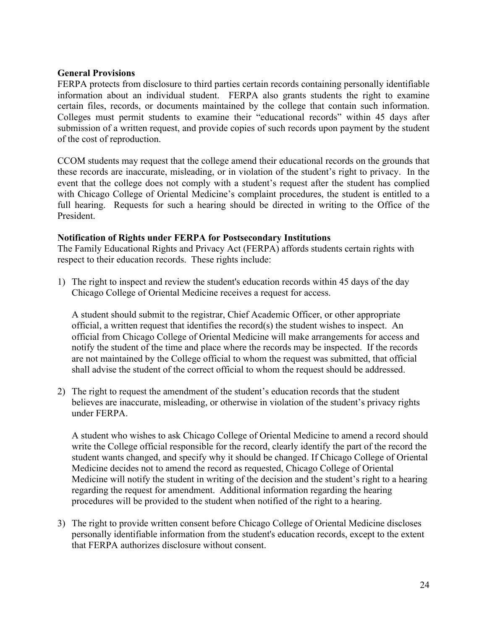#### **General Provisions**

FERPA protects from disclosure to third parties certain records containing personally identifiable information about an individual student. FERPA also grants students the right to examine certain files, records, or documents maintained by the college that contain such information. Colleges must permit students to examine their "educational records" within 45 days after submission of a written request, and provide copies of such records upon payment by the student of the cost of reproduction.

CCOM students may request that the college amend their educational records on the grounds that these records are inaccurate, misleading, or in violation of the student's right to privacy. In the event that the college does not comply with a student's request after the student has complied with Chicago College of Oriental Medicine's complaint procedures, the student is entitled to a full hearing. Requests for such a hearing should be directed in writing to the Office of the President.

#### **Notification of Rights under FERPA for Postsecondary Institutions**

The Family Educational Rights and Privacy Act (FERPA) affords students certain rights with respect to their education records. These rights include:

1) The right to inspect and review the student's education records within 45 days of the day Chicago College of Oriental Medicine receives a request for access.

A student should submit to the registrar, Chief Academic Officer, or other appropriate official, a written request that identifies the record(s) the student wishes to inspect. An official from Chicago College of Oriental Medicine will make arrangements for access and notify the student of the time and place where the records may be inspected. If the records are not maintained by the College official to whom the request was submitted, that official shall advise the student of the correct official to whom the request should be addressed.

2) The right to request the amendment of the student's education records that the student believes are inaccurate, misleading, or otherwise in violation of the student's privacy rights under FERPA.

A student who wishes to ask Chicago College of Oriental Medicine to amend a record should write the College official responsible for the record, clearly identify the part of the record the student wants changed, and specify why it should be changed. If Chicago College of Oriental Medicine decides not to amend the record as requested, Chicago College of Oriental Medicine will notify the student in writing of the decision and the student's right to a hearing regarding the request for amendment. Additional information regarding the hearing procedures will be provided to the student when notified of the right to a hearing.

3) The right to provide written consent before Chicago College of Oriental Medicine discloses personally identifiable information from the student's education records, except to the extent that FERPA authorizes disclosure without consent.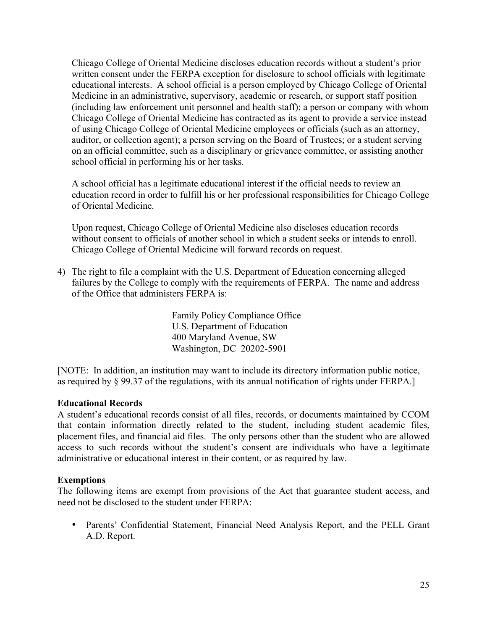Chicago College of Oriental Medicine discloses education records without a student's prior written consent under the FERPA exception for disclosure to school officials with legitimate educational interests. A school official is a person employed by Chicago College of Oriental Medicine in an administrative, supervisory, academic or research, or support staff position (including law enforcement unit personnel and health staff); a person or company with whom Chicago College of Oriental Medicine has contracted as its agent to provide a service instead of using Chicago College of Oriental Medicine employees or officials (such as an attorney, auditor, or collection agent); a person serving on the Board of Trustees; or a student serving on an official committee, such as a disciplinary or grievance committee, or assisting another school official in performing his or her tasks.

A school official has a legitimate educational interest if the official needs to review an education record in order to fulfill his or her professional responsibilities for Chicago College of Oriental Medicine.

Upon request, Chicago College of Oriental Medicine also discloses education records without consent to officials of another school in which a student seeks or intends to enroll. Chicago College of Oriental Medicine will forward records on request.

4) The right to file a complaint with the U.S. Department of Education concerning alleged failures by the College to comply with the requirements of FERPA. The name and address of the Office that administers FERPA is:

> Family Policy Compliance Office U.S. Department of Education 400 Maryland Avenue, SW Washington, DC 20202-5901

[NOTE: In addition, an institution may want to include its directory information public notice, as required by § 99.37 of the regulations, with its annual notification of rights under FERPA.]

#### **Educational Records**

A student's educational records consist of all files, records, or documents maintained by CCOM that contain information directly related to the student, including student academic files, placement files, and financial aid files. The only persons other than the student who are allowed access to such records without the student's consent are individuals who have a legitimate administrative or educational interest in their content, or as required by law.

#### **Exemptions**

The following items are exempt from provisions of the Act that guarantee student access, and need not be disclosed to the student under FERPA:

• Parents' Confidential Statement, Financial Need Analysis Report, and the PELL Grant A.D. Report.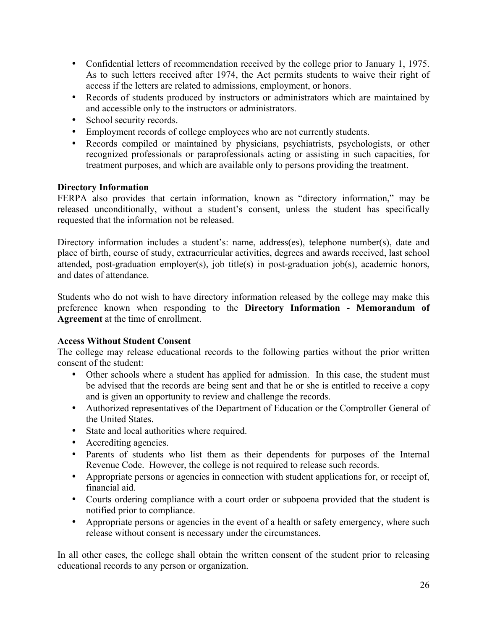- Confidential letters of recommendation received by the college prior to January 1, 1975. As to such letters received after 1974, the Act permits students to waive their right of access if the letters are related to admissions, employment, or honors.
- Records of students produced by instructors or administrators which are maintained by and accessible only to the instructors or administrators.
- School security records.
- Employment records of college employees who are not currently students.
- Records compiled or maintained by physicians, psychiatrists, psychologists, or other recognized professionals or paraprofessionals acting or assisting in such capacities, for treatment purposes, and which are available only to persons providing the treatment.

#### **Directory Information**

FERPA also provides that certain information, known as "directory information," may be released unconditionally, without a student's consent, unless the student has specifically requested that the information not be released.

Directory information includes a student's: name, address(es), telephone number(s), date and place of birth, course of study, extracurricular activities, degrees and awards received, last school attended, post-graduation employer(s), job title(s) in post-graduation job(s), academic honors, and dates of attendance.

Students who do not wish to have directory information released by the college may make this preference known when responding to the **Directory Information - Memorandum of Agreement** at the time of enrollment.

#### **Access Without Student Consent**

The college may release educational records to the following parties without the prior written consent of the student:

- Other schools where a student has applied for admission. In this case, the student must be advised that the records are being sent and that he or she is entitled to receive a copy and is given an opportunity to review and challenge the records.
- Authorized representatives of the Department of Education or the Comptroller General of the United States.
- State and local authorities where required.
- Accrediting agencies.
- Parents of students who list them as their dependents for purposes of the Internal Revenue Code. However, the college is not required to release such records.
- Appropriate persons or agencies in connection with student applications for, or receipt of, financial aid.
- Courts ordering compliance with a court order or subpoena provided that the student is notified prior to compliance.
- Appropriate persons or agencies in the event of a health or safety emergency, where such release without consent is necessary under the circumstances.

In all other cases, the college shall obtain the written consent of the student prior to releasing educational records to any person or organization.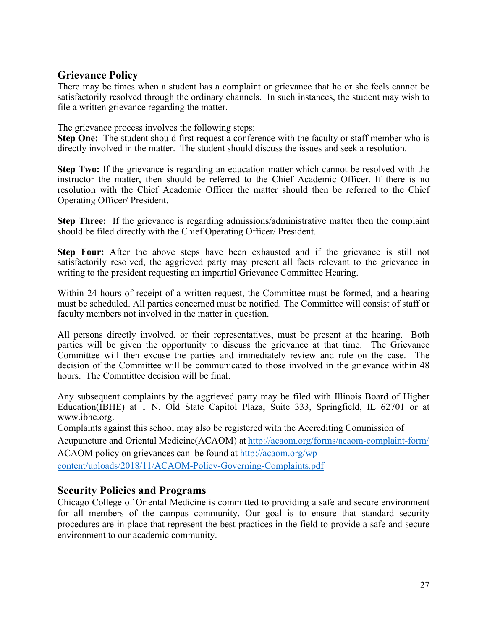### **Grievance Policy**

There may be times when a student has a complaint or grievance that he or she feels cannot be satisfactorily resolved through the ordinary channels. In such instances, the student may wish to file a written grievance regarding the matter.

The grievance process involves the following steps:

**Step One:** The student should first request a conference with the faculty or staff member who is directly involved in the matter. The student should discuss the issues and seek a resolution.

**Step Two:** If the grievance is regarding an education matter which cannot be resolved with the instructor the matter, then should be referred to the Chief Academic Officer. If there is no resolution with the Chief Academic Officer the matter should then be referred to the Chief Operating Officer/ President.

**Step Three:** If the grievance is regarding admissions/administrative matter then the complaint should be filed directly with the Chief Operating Officer/ President.

**Step Four:** After the above steps have been exhausted and if the grievance is still not satisfactorily resolved, the aggrieved party may present all facts relevant to the grievance in writing to the president requesting an impartial Grievance Committee Hearing.

Within 24 hours of receipt of a written request, the Committee must be formed, and a hearing must be scheduled. All parties concerned must be notified. The Committee will consist of staff or faculty members not involved in the matter in question.

All persons directly involved, or their representatives, must be present at the hearing. Both parties will be given the opportunity to discuss the grievance at that time. The Grievance Committee will then excuse the parties and immediately review and rule on the case. The decision of the Committee will be communicated to those involved in the grievance within 48 hours. The Committee decision will be final.

Any subsequent complaints by the aggrieved party may be filed with Illinois Board of Higher Education(IBHE) at 1 N. Old State Capitol Plaza, Suite 333, Springfield, IL 62701 or at www.ibhe.org.

Complaints against this school may also be registered with the Accrediting Commission of Acupuncture and Oriental Medicine(ACAOM) at http://acaom.org/forms/acaom-complaint-form/ ACAOM policy on grievances can be found at http://acaom.org/wpcontent/uploads/2018/11/ACAOM-Policy-Governing-Complaints.pdf

### **Security Policies and Programs**

Chicago College of Oriental Medicine is committed to providing a safe and secure environment for all members of the campus community. Our goal is to ensure that standard security procedures are in place that represent the best practices in the field to provide a safe and secure environment to our academic community.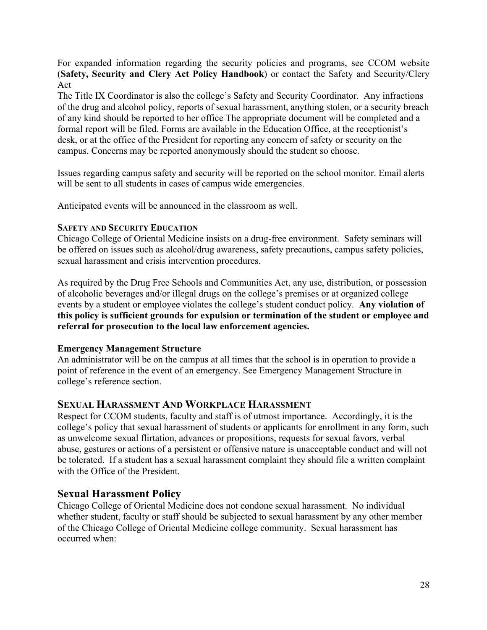For expanded information regarding the security policies and programs, see CCOM website (**Safety, Security and Clery Act Policy Handbook**) or contact the Safety and Security/Clery Act

The Title IX Coordinator is also the college's Safety and Security Coordinator. Any infractions of the drug and alcohol policy, reports of sexual harassment, anything stolen, or a security breach of any kind should be reported to her office The appropriate document will be completed and a formal report will be filed. Forms are available in the Education Office, at the receptionist's desk, or at the office of the President for reporting any concern of safety or security on the campus. Concerns may be reported anonymously should the student so choose.

Issues regarding campus safety and security will be reported on the school monitor. Email alerts will be sent to all students in cases of campus wide emergencies.

Anticipated events will be announced in the classroom as well.

#### **SAFETY AND SECURITY EDUCATION**

Chicago College of Oriental Medicine insists on a drug-free environment. Safety seminars will be offered on issues such as alcohol/drug awareness, safety precautions, campus safety policies, sexual harassment and crisis intervention procedures.

As required by the Drug Free Schools and Communities Act, any use, distribution, or possession of alcoholic beverages and/or illegal drugs on the college's premises or at organized college events by a student or employee violates the college's student conduct policy. **Any violation of this policy is sufficient grounds for expulsion or termination of the student or employee and referral for prosecution to the local law enforcement agencies.**

#### **Emergency Management Structure**

An administrator will be on the campus at all times that the school is in operation to provide a point of reference in the event of an emergency. See Emergency Management Structure in college's reference section.

### **SEXUAL HARASSMENT AND WORKPLACE HARASSMENT**

Respect for CCOM students, faculty and staff is of utmost importance. Accordingly, it is the college's policy that sexual harassment of students or applicants for enrollment in any form, such as unwelcome sexual flirtation, advances or propositions, requests for sexual favors, verbal abuse, gestures or actions of a persistent or offensive nature is unacceptable conduct and will not be tolerated. If a student has a sexual harassment complaint they should file a written complaint with the Office of the President.

### **Sexual Harassment Policy**

Chicago College of Oriental Medicine does not condone sexual harassment. No individual whether student, faculty or staff should be subjected to sexual harassment by any other member of the Chicago College of Oriental Medicine college community. Sexual harassment has occurred when: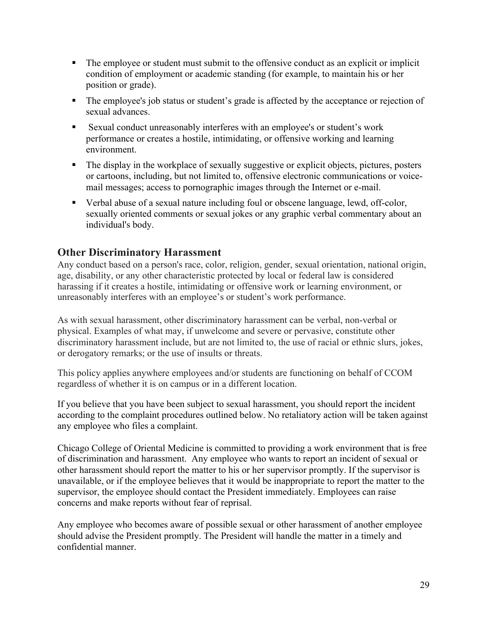- ! The employee or student must submit to the offensive conduct as an explicit or implicit condition of employment or academic standing (for example, to maintain his or her position or grade).
- ! The employee's job status or student's grade is affected by the acceptance or rejection of sexual advances.
- ! Sexual conduct unreasonably interferes with an employee's or student's work performance or creates a hostile, intimidating, or offensive working and learning environment.
- ! The display in the workplace of sexually suggestive or explicit objects, pictures, posters or cartoons, including, but not limited to, offensive electronic communications or voicemail messages; access to pornographic images through the Internet or e-mail.
- ! Verbal abuse of a sexual nature including foul or obscene language, lewd, off-color, sexually oriented comments or sexual jokes or any graphic verbal commentary about an individual's body.

### **Other Discriminatory Harassment**

Any conduct based on a person's race, color, religion, gender, sexual orientation, national origin, age, disability, or any other characteristic protected by local or federal law is considered harassing if it creates a hostile, intimidating or offensive work or learning environment, or unreasonably interferes with an employee's or student's work performance.

As with sexual harassment, other discriminatory harassment can be verbal, non-verbal or physical. Examples of what may, if unwelcome and severe or pervasive, constitute other discriminatory harassment include, but are not limited to, the use of racial or ethnic slurs, jokes, or derogatory remarks; or the use of insults or threats.

This policy applies anywhere employees and/or students are functioning on behalf of CCOM regardless of whether it is on campus or in a different location.

If you believe that you have been subject to sexual harassment, you should report the incident according to the complaint procedures outlined below. No retaliatory action will be taken against any employee who files a complaint.

Chicago College of Oriental Medicine is committed to providing a work environment that is free of discrimination and harassment. Any employee who wants to report an incident of sexual or other harassment should report the matter to his or her supervisor promptly. If the supervisor is unavailable, or if the employee believes that it would be inappropriate to report the matter to the supervisor, the employee should contact the President immediately. Employees can raise concerns and make reports without fear of reprisal.

Any employee who becomes aware of possible sexual or other harassment of another employee should advise the President promptly. The President will handle the matter in a timely and confidential manner.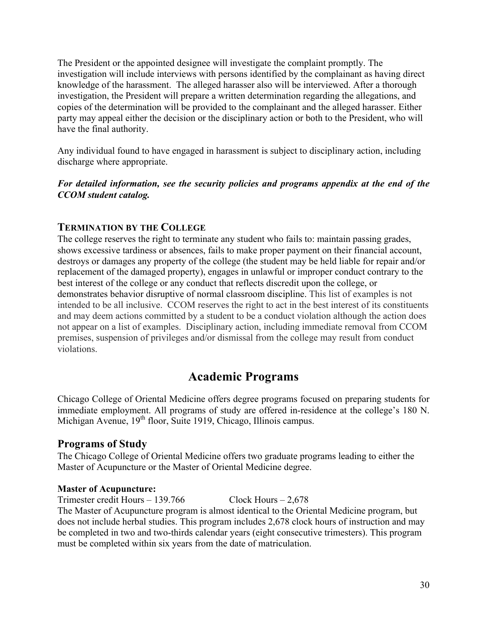The President or the appointed designee will investigate the complaint promptly. The investigation will include interviews with persons identified by the complainant as having direct knowledge of the harassment. The alleged harasser also will be interviewed. After a thorough investigation, the President will prepare a written determination regarding the allegations, and copies of the determination will be provided to the complainant and the alleged harasser. Either party may appeal either the decision or the disciplinary action or both to the President, who will have the final authority.

Any individual found to have engaged in harassment is subject to disciplinary action, including discharge where appropriate.

#### *For detailed information, see the security policies and programs appendix at the end of the CCOM student catalog.*

### **TERMINATION BY THE COLLEGE**

The college reserves the right to terminate any student who fails to: maintain passing grades, shows excessive tardiness or absences, fails to make proper payment on their financial account, destroys or damages any property of the college (the student may be held liable for repair and/or replacement of the damaged property), engages in unlawful or improper conduct contrary to the best interest of the college or any conduct that reflects discredit upon the college, or demonstrates behavior disruptive of normal classroom discipline. This list of examples is not intended to be all inclusive. CCOM reserves the right to act in the best interest of its constituents and may deem actions committed by a student to be a conduct violation although the action does not appear on a list of examples. Disciplinary action, including immediate removal from CCOM premises, suspension of privileges and/or dismissal from the college may result from conduct violations.

# **Academic Programs**

Chicago College of Oriental Medicine offers degree programs focused on preparing students for immediate employment. All programs of study are offered in-residence at the college's 180 N. Michigan Avenue, 19<sup>th</sup> floor, Suite 1919, Chicago, Illinois campus.

### **Programs of Study**

The Chicago College of Oriental Medicine offers two graduate programs leading to either the Master of Acupuncture or the Master of Oriental Medicine degree.

#### **Master of Acupuncture:**

Trimester credit Hours – 139.766 Clock Hours – 2,678 The Master of Acupuncture program is almost identical to the Oriental Medicine program, but does not include herbal studies. This program includes 2,678 clock hours of instruction and may be completed in two and two-thirds calendar years (eight consecutive trimesters). This program must be completed within six years from the date of matriculation.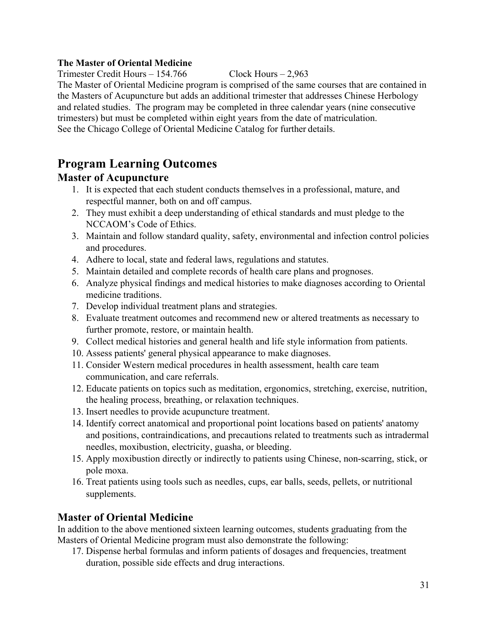#### **The Master of Oriental Medicine**

Trimester Credit Hours – 154.766 Clock Hours – 2,963

The Master of Oriental Medicine program is comprised of the same courses that are contained in the Masters of Acupuncture but adds an additional trimester that addresses Chinese Herbology and related studies. The program may be completed in three calendar years (nine consecutive trimesters) but must be completed within eight years from the date of matriculation. See the Chicago College of Oriental Medicine Catalog for further details.

# **Program Learning Outcomes**

## **Master of Acupuncture**

- 1. It is expected that each student conducts themselves in a professional, mature, and respectful manner, both on and off campus.
- 2. They must exhibit a deep understanding of ethical standards and must pledge to the NCCAOM's Code of Ethics.
- 3. Maintain and follow standard quality, safety, environmental and infection control policies and procedures.
- 4. Adhere to local, state and federal laws, regulations and statutes.
- 5. Maintain detailed and complete records of health care plans and prognoses.
- 6. Analyze physical findings and medical histories to make diagnoses according to Oriental medicine traditions.
- 7. Develop individual treatment plans and strategies.
- 8. Evaluate treatment outcomes and recommend new or altered treatments as necessary to further promote, restore, or maintain health.
- 9. Collect medical histories and general health and life style information from patients.
- 10. Assess patients' general physical appearance to make diagnoses.
- 11. Consider Western medical procedures in health assessment, health care team communication, and care referrals.
- 12. Educate patients on topics such as meditation, ergonomics, stretching, exercise, nutrition, the healing process, breathing, or relaxation techniques.
- 13. Insert needles to provide acupuncture treatment.
- 14. Identify correct anatomical and proportional point locations based on patients' anatomy and positions, contraindications, and precautions related to treatments such as intradermal needles, moxibustion, electricity, guasha, or bleeding.
- 15. Apply moxibustion directly or indirectly to patients using Chinese, non-scarring, stick, or pole moxa.
- 16. Treat patients using tools such as needles, cups, ear balls, seeds, pellets, or nutritional supplements.

## **Master of Oriental Medicine**

In addition to the above mentioned sixteen learning outcomes, students graduating from the Masters of Oriental Medicine program must also demonstrate the following:

17. Dispense herbal formulas and inform patients of dosages and frequencies, treatment duration, possible side effects and drug interactions.

31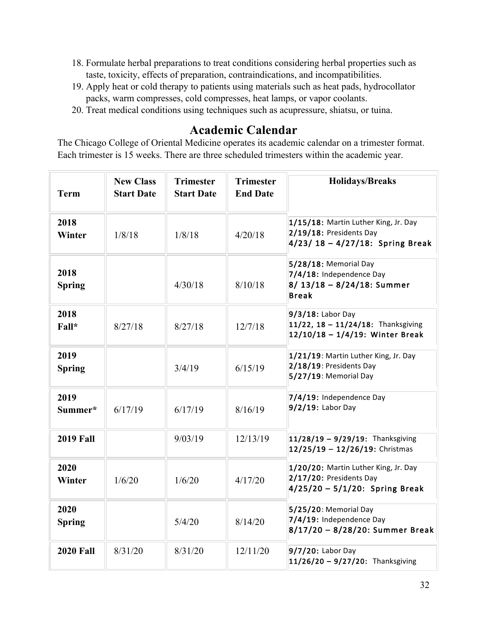- 18. Formulate herbal preparations to treat conditions considering herbal properties such as taste, toxicity, effects of preparation, contraindications, and incompatibilities.
- 19. Apply heat or cold therapy to patients using materials such as heat pads, hydrocollator packs, warm compresses, cold compresses, heat lamps, or vapor coolants.
- 20. Treat medical conditions using techniques such as acupressure, shiatsu, or tuina.

# **Academic Calendar**

The Chicago College of Oriental Medicine operates its academic calendar on a trimester format. Each trimester is 15 weeks. There are three scheduled trimesters within the academic year.

| <b>Term</b>           | <b>New Class</b><br><b>Start Date</b> | <b>Trimester</b><br><b>Start Date</b> | <b>Trimester</b><br><b>End Date</b> | <b>Holidays/Breaks</b>                                                                                |
|-----------------------|---------------------------------------|---------------------------------------|-------------------------------------|-------------------------------------------------------------------------------------------------------|
| 2018<br>Winter        | 1/8/18                                | 1/8/18                                | 4/20/18                             | 1/15/18: Martin Luther King, Jr. Day<br>2/19/18: Presidents Day<br>$4/23/18 - 4/27/18$ : Spring Break |
| 2018<br><b>Spring</b> |                                       | 4/30/18                               | 8/10/18                             | 5/28/18: Memorial Day<br>7/4/18: Independence Day<br>$8/13/18 - 8/24/18$ : Summer<br><b>Break</b>     |
| 2018<br>Fall*         | 8/27/18                               | 8/27/18                               | 12/7/18                             | $9/3/18$ : Labor Day<br>11/22, 18 - 11/24/18: Thanksgiving<br>$12/10/18 - 1/4/19$ : Winter Break      |
| 2019<br><b>Spring</b> |                                       | 3/4/19                                | 6/15/19                             | 1/21/19: Martin Luther King, Jr. Day<br>2/18/19: Presidents Day<br>5/27/19: Memorial Day              |
| 2019<br>Summer*       | 6/17/19                               | 6/17/19                               | 8/16/19                             | 7/4/19: Independence Day<br>$9/2/19$ : Labor Day                                                      |
| <b>2019 Fall</b>      |                                       | 9/03/19                               | 12/13/19                            | $11/28/19 - 9/29/19$ : Thanksgiving<br>$12/25/19 - 12/26/19$ : Christmas                              |
| 2020<br>Winter        | 1/6/20                                | 1/6/20                                | 4/17/20                             | 1/20/20: Martin Luther King, Jr. Day<br>2/17/20: Presidents Day<br>$4/25/20 - 5/1/20$ : Spring Break  |
| 2020<br><b>Spring</b> |                                       | 5/4/20                                | 8/14/20                             | 5/25/20: Memorial Day<br>7/4/19: Independence Day<br>8/17/20 - 8/28/20: Summer Break                  |
| <b>2020 Fall</b>      | 8/31/20                               | 8/31/20                               | 12/11/20                            | 9/7/20: Labor Day<br>11/26/20 - 9/27/20: Thanksgiving                                                 |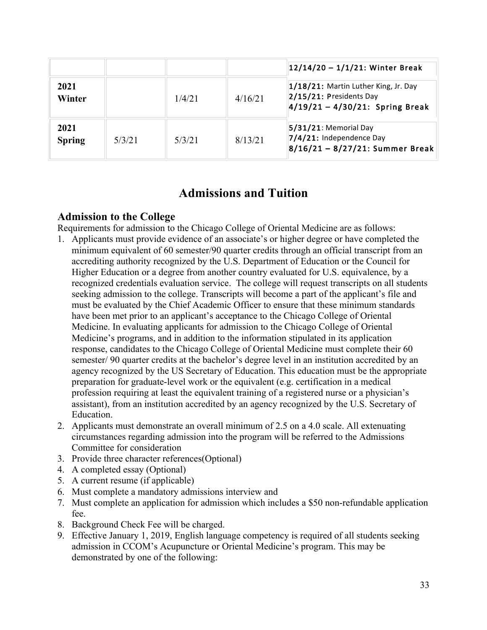|                       |        |        |         | $12/14/20 - 1/1/21$ : Winter Break                                                                       |
|-----------------------|--------|--------|---------|----------------------------------------------------------------------------------------------------------|
| 2021<br>Winter        |        | 1/4/21 | 4/16/21 | 1/18/21: Martin Luther King, Jr. Day<br>$2/15/21$ : Presidents Day<br>$4/19/21 - 4/30/21$ : Spring Break |
| 2021<br><b>Spring</b> | 5/3/21 | 5/3/21 | 8/13/21 | $ 5/31/21$ : Memorial Day<br>7/4/21: Independence Day<br>$8/16/21 - 8/27/21$ : Summer Break              |

## **Admissions and Tuition**

### **Admission to the College**

Requirements for admission to the Chicago College of Oriental Medicine are as follows:

- 1. Applicants must provide evidence of an associate's or higher degree or have completed the minimum equivalent of 60 semester/90 quarter credits through an official transcript from an accrediting authority recognized by the U.S. Department of Education or the Council for Higher Education or a degree from another country evaluated for U.S. equivalence, by a recognized credentials evaluation service. The college will request transcripts on all students seeking admission to the college. Transcripts will become a part of the applicant's file and must be evaluated by the Chief Academic Officer to ensure that these minimum standards have been met prior to an applicant's acceptance to the Chicago College of Oriental Medicine. In evaluating applicants for admission to the Chicago College of Oriental Medicine's programs, and in addition to the information stipulated in its application response, candidates to the Chicago College of Oriental Medicine must complete their 60 semester/ 90 quarter credits at the bachelor's degree level in an institution accredited by an agency recognized by the US Secretary of Education. This education must be the appropriate preparation for graduate-level work or the equivalent (e.g. certification in a medical profession requiring at least the equivalent training of a registered nurse or a physician's assistant), from an institution accredited by an agency recognized by the U.S. Secretary of Education.
- 2. Applicants must demonstrate an overall minimum of 2.5 on a 4.0 scale. All extenuating circumstances regarding admission into the program will be referred to the Admissions Committee for consideration
- 3. Provide three character references(Optional)
- 4. A completed essay (Optional)
- 5. A current resume (if applicable)
- 6. Must complete a mandatory admissions interview and
- 7. Must complete an application for admission which includes a \$50 non-refundable application fee.
- 8. Background Check Fee will be charged.
- 9. Effective January 1, 2019, English language competency is required of all students seeking admission in CCOM's Acupuncture or Oriental Medicine's program. This may be demonstrated by one of the following: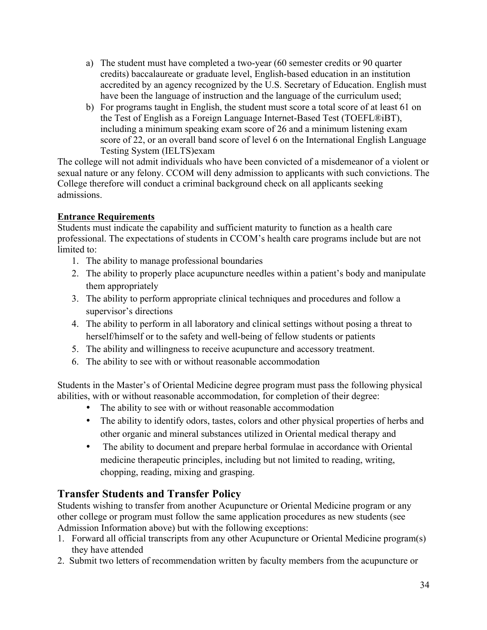- a) The student must have completed a two-year (60 semester credits or 90 quarter credits) baccalaureate or graduate level, English-based education in an institution accredited by an agency recognized by the U.S. Secretary of Education. English must have been the language of instruction and the language of the curriculum used;
- b) For programs taught in English, the student must score a total score of at least 61 on the Test of English as a Foreign Language Internet-Based Test (TOEFL®iBT), including a minimum speaking exam score of 26 and a minimum listening exam score of 22, or an overall band score of level 6 on the International English Language Testing System (IELTS)exam

The college will not admit individuals who have been convicted of a misdemeanor of a violent or sexual nature or any felony. CCOM will deny admission to applicants with such convictions. The College therefore will conduct a criminal background check on all applicants seeking admissions.

### **Entrance Requirements**

Students must indicate the capability and sufficient maturity to function as a health care professional. The expectations of students in CCOM's health care programs include but are not limited to:

- 1. The ability to manage professional boundaries
- 2. The ability to properly place acupuncture needles within a patient's body and manipulate them appropriately
- 3. The ability to perform appropriate clinical techniques and procedures and follow a supervisor's directions
- 4. The ability to perform in all laboratory and clinical settings without posing a threat to herself/himself or to the safety and well-being of fellow students or patients
- 5. The ability and willingness to receive acupuncture and accessory treatment.
- 6. The ability to see with or without reasonable accommodation

Students in the Master's of Oriental Medicine degree program must pass the following physical abilities, with or without reasonable accommodation, for completion of their degree:

- The ability to see with or without reasonable accommodation
- The ability to identify odors, tastes, colors and other physical properties of herbs and other organic and mineral substances utilized in Oriental medical therapy and
- The ability to document and prepare herbal formulae in accordance with Oriental medicine therapeutic principles, including but not limited to reading, writing, chopping, reading, mixing and grasping.

## **Transfer Students and Transfer Policy**

Students wishing to transfer from another Acupuncture or Oriental Medicine program or any other college or program must follow the same application procedures as new students (see Admission Information above) but with the following exceptions:

- 1. Forward all official transcripts from any other Acupuncture or Oriental Medicine program(s) they have attended
- 2. Submit two letters of recommendation written by faculty members from the acupuncture or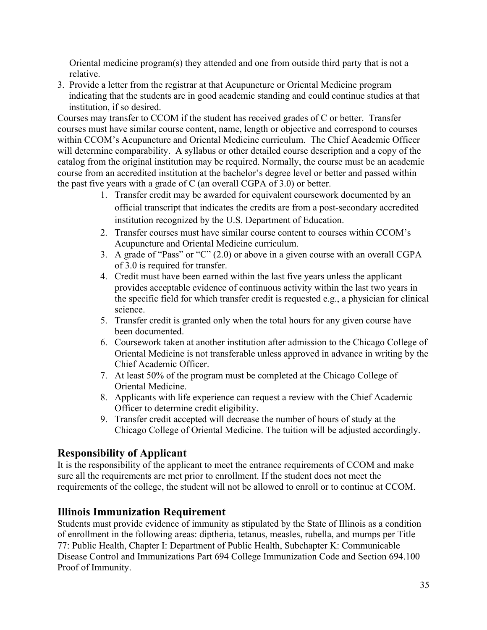Oriental medicine program(s) they attended and one from outside third party that is not a relative.

3. Provide a letter from the registrar at that Acupuncture or Oriental Medicine program indicating that the students are in good academic standing and could continue studies at that institution, if so desired.

Courses may transfer to CCOM if the student has received grades of C or better. Transfer courses must have similar course content, name, length or objective and correspond to courses within CCOM's Acupuncture and Oriental Medicine curriculum. The Chief Academic Officer will determine comparability. A syllabus or other detailed course description and a copy of the catalog from the original institution may be required. Normally, the course must be an academic course from an accredited institution at the bachelor's degree level or better and passed within the past five years with a grade of C (an overall CGPA of 3.0) or better.

- 1. Transfer credit may be awarded for equivalent coursework documented by an official transcript that indicates the credits are from a post-secondary accredited institution recognized by the U.S. Department of Education.
- 2. Transfer courses must have similar course content to courses within CCOM's Acupuncture and Oriental Medicine curriculum.
- 3. A grade of "Pass" or "C" (2.0) or above in a given course with an overall CGPA of 3.0 is required for transfer.
- 4. Credit must have been earned within the last five years unless the applicant provides acceptable evidence of continuous activity within the last two years in the specific field for which transfer credit is requested e.g., a physician for clinical science.
- 5. Transfer credit is granted only when the total hours for any given course have been documented.
- 6. Coursework taken at another institution after admission to the Chicago College of Oriental Medicine is not transferable unless approved in advance in writing by the Chief Academic Officer.
- 7. At least 50% of the program must be completed at the Chicago College of Oriental Medicine.
- 8. Applicants with life experience can request a review with the Chief Academic Officer to determine credit eligibility.
- 9. Transfer credit accepted will decrease the number of hours of study at the Chicago College of Oriental Medicine. The tuition will be adjusted accordingly.

## **Responsibility of Applicant**

It is the responsibility of the applicant to meet the entrance requirements of CCOM and make sure all the requirements are met prior to enrollment. If the student does not meet the requirements of the college, the student will not be allowed to enroll or to continue at CCOM.

## **Illinois Immunization Requirement**

Students must provide evidence of immunity as stipulated by the State of Illinois as a condition of enrollment in the following areas: diptheria, tetanus, measles, rubella, and mumps per Title 77: Public Health, Chapter I: Department of Public Health, Subchapter K: Communicable Disease Control and Immunizations Part 694 College Immunization Code and Section 694.100 Proof of Immunity.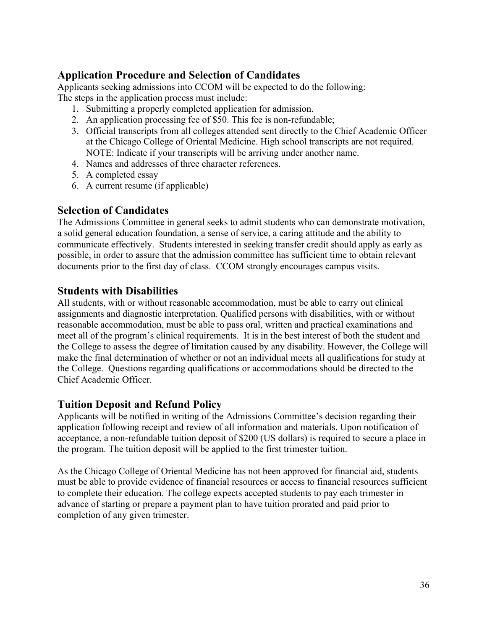## **Application Procedure and Selection of Candidates**

Applicants seeking admissions into CCOM will be expected to do the following: The steps in the application process must include:

- 1. Submitting a properly completed application for admission.
- 2. An application processing fee of \$50. This fee is non-refundable;
- 3. Official transcripts from all colleges attended sent directly to the Chief Academic Officer at the Chicago College of Oriental Medicine. High school transcripts are not required. NOTE: Indicate if your transcripts will be arriving under another name.
- 4. Names and addresses of three character references.
- 5. A completed essay
- 6. A current resume (if applicable)

#### **Selection of Candidates**

The Admissions Committee in general seeks to admit students who can demonstrate motivation, a solid general education foundation, a sense of service, a caring attitude and the ability to communicate effectively. Students interested in seeking transfer credit should apply as early as possible, in order to assure that the admission committee has sufficient time to obtain relevant documents prior to the first day of class. CCOM strongly encourages campus visits.

#### **Students with Disabilities**

All students, with or without reasonable accommodation, must be able to carry out clinical assignments and diagnostic interpretation. Qualified persons with disabilities, with or without reasonable accommodation, must be able to pass oral, written and practical examinations and meet all of the program's clinical requirements. It is in the best interest of both the student and the College to assess the degree of limitation caused by any disability. However, the College will make the final determination of whether or not an individual meets all qualifications for study at the College. Questions regarding qualifications or accommodations should be directed to the Chief Academic Officer.

### **Tuition Deposit and Refund Policy**

Applicants will be notified in writing of the Admissions Committee's decision regarding their application following receipt and review of all information and materials. Upon notification of acceptance, a non-refundable tuition deposit of \$200 (US dollars) is required to secure a place in the program. The tuition deposit will be applied to the first trimester tuition.

As the Chicago College of Oriental Medicine has not been approved for financial aid, students must be able to provide evidence of financial resources or access to financial resources sufficient to complete their education. The college expects accepted students to pay each trimester in advance of starting or prepare a payment plan to have tuition prorated and paid prior to completion of any given trimester.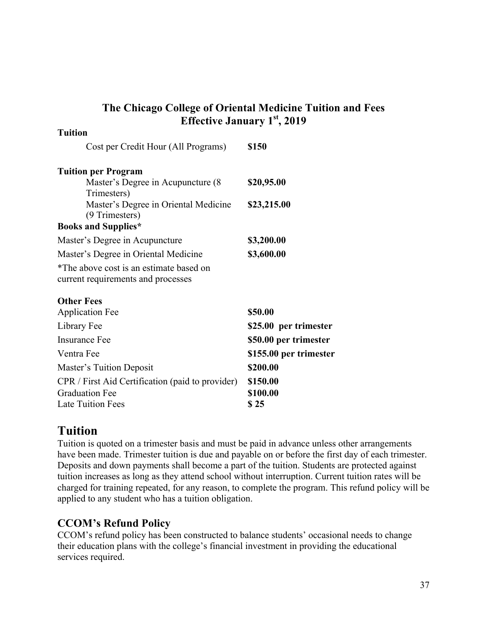| <b>Tuition</b>                                         |                        |  |  |
|--------------------------------------------------------|------------------------|--|--|
| Cost per Credit Hour (All Programs)                    | \$150                  |  |  |
| <b>Tuition per Program</b>                             |                        |  |  |
| Master's Degree in Acupuncture (8)                     | \$20,95.00             |  |  |
| Trimesters)                                            |                        |  |  |
| Master's Degree in Oriental Medicine<br>(9 Trimesters) | \$23,215.00            |  |  |
| <b>Books and Supplies*</b>                             |                        |  |  |
| Master's Degree in Acupuncture                         | \$3,200.00             |  |  |
| Master's Degree in Oriental Medicine                   | \$3,600.00             |  |  |
| *The above cost is an estimate based on                |                        |  |  |
| current requirements and processes                     |                        |  |  |
| <b>Other Fees</b>                                      |                        |  |  |
| <b>Application Fee</b>                                 | \$50.00                |  |  |
| Library Fee                                            | \$25.00 per trimester  |  |  |
| <b>Insurance Fee</b>                                   | \$50.00 per trimester  |  |  |
| Ventra Fee                                             | \$155.00 per trimester |  |  |
| Master's Tuition Deposit                               | \$200.00               |  |  |
| CPR / First Aid Certification (paid to provider)       | \$150.00               |  |  |
| <b>Graduation Fee</b>                                  | \$100.00               |  |  |
| <b>Late Tuition Fees</b>                               | \$25                   |  |  |

## **The Chicago College of Oriental Medicine Tuition and Fees Effective January 1st, 2019**

# **Tuition**

Tuition is quoted on a trimester basis and must be paid in advance unless other arrangements have been made. Trimester tuition is due and payable on or before the first day of each trimester. Deposits and down payments shall become a part of the tuition. Students are protected against tuition increases as long as they attend school without interruption. Current tuition rates will be charged for training repeated, for any reason, to complete the program. This refund policy will be applied to any student who has a tuition obligation.

## **CCOM's Refund Policy**

CCOM's refund policy has been constructed to balance students' occasional needs to change their education plans with the college's financial investment in providing the educational services required.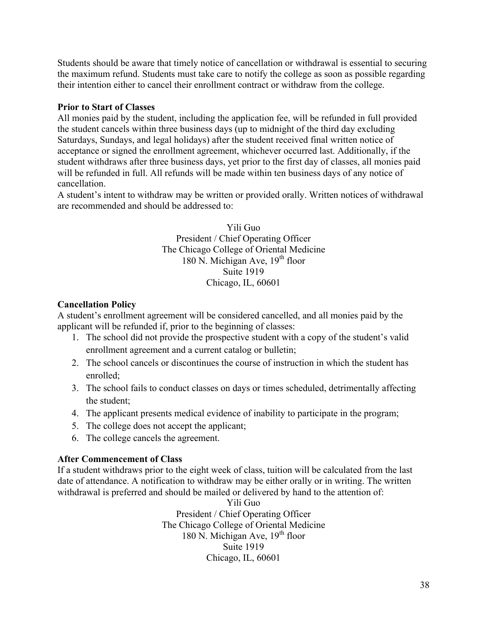Students should be aware that timely notice of cancellation or withdrawal is essential to securing the maximum refund. Students must take care to notify the college as soon as possible regarding their intention either to cancel their enrollment contract or withdraw from the college.

#### **Prior to Start of Classes**

All monies paid by the student, including the application fee, will be refunded in full provided the student cancels within three business days (up to midnight of the third day excluding Saturdays, Sundays, and legal holidays) after the student received final written notice of acceptance or signed the enrollment agreement, whichever occurred last. Additionally, if the student withdraws after three business days, yet prior to the first day of classes, all monies paid will be refunded in full. All refunds will be made within ten business days of any notice of cancellation.

A student's intent to withdraw may be written or provided orally. Written notices of withdrawal are recommended and should be addressed to:

> Yili Guo President / Chief Operating Officer The Chicago College of Oriental Medicine 180 N. Michigan Ave,  $19<sup>th</sup>$  floor Suite 1919 Chicago, IL, 60601

#### **Cancellation Policy**

A student's enrollment agreement will be considered cancelled, and all monies paid by the applicant will be refunded if, prior to the beginning of classes:

- 1. The school did not provide the prospective student with a copy of the student's valid enrollment agreement and a current catalog or bulletin;
- 2. The school cancels or discontinues the course of instruction in which the student has enrolled;
- 3. The school fails to conduct classes on days or times scheduled, detrimentally affecting the student;
- 4. The applicant presents medical evidence of inability to participate in the program;
- 5. The college does not accept the applicant;
- 6. The college cancels the agreement.

#### **After Commencement of Class**

If a student withdraws prior to the eight week of class, tuition will be calculated from the last date of attendance. A notification to withdraw may be either orally or in writing. The written withdrawal is preferred and should be mailed or delivered by hand to the attention of:

> Yili Guo President / Chief Operating Officer The Chicago College of Oriental Medicine 180 N. Michigan Ave,  $19<sup>th</sup>$  floor Suite 1919 Chicago, IL, 60601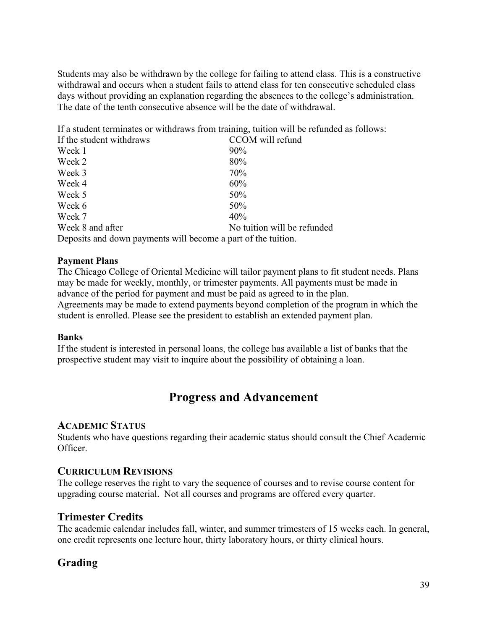Students may also be withdrawn by the college for failing to attend class. This is a constructive withdrawal and occurs when a student fails to attend class for ten consecutive scheduled class days without providing an explanation regarding the absences to the college's administration. The date of the tenth consecutive absence will be the date of withdrawal.

If a student terminates or withdraws from training, tuition will be refunded as follows:

| If the student withdraws                                      | CCOM will refund            |  |
|---------------------------------------------------------------|-----------------------------|--|
| Week 1                                                        | $90\%$                      |  |
| Week 2                                                        | 80%                         |  |
| Week 3                                                        | 70%                         |  |
| Week 4                                                        | 60%                         |  |
| Week 5                                                        | 50%                         |  |
| Week 6                                                        | 50%                         |  |
| Week 7                                                        | 40%                         |  |
| Week 8 and after                                              | No tuition will be refunded |  |
| Deposits and down payments will become a part of the tuition. |                             |  |

#### **Payment Plans**

The Chicago College of Oriental Medicine will tailor payment plans to fit student needs. Plans may be made for weekly, monthly, or trimester payments. All payments must be made in advance of the period for payment and must be paid as agreed to in the plan. Agreements may be made to extend payments beyond completion of the program in which the student is enrolled. Please see the president to establish an extended payment plan.

#### **Banks**

If the student is interested in personal loans, the college has available a list of banks that the prospective student may visit to inquire about the possibility of obtaining a loan.

## **Progress and Advancement**

#### **ACADEMIC STATUS**

Students who have questions regarding their academic status should consult the Chief Academic Officer.

### **CURRICULUM REVISIONS**

The college reserves the right to vary the sequence of courses and to revise course content for upgrading course material. Not all courses and programs are offered every quarter.

### **Trimester Credits**

The academic calendar includes fall, winter, and summer trimesters of 15 weeks each. In general, one credit represents one lecture hour, thirty laboratory hours, or thirty clinical hours.

### **Grading**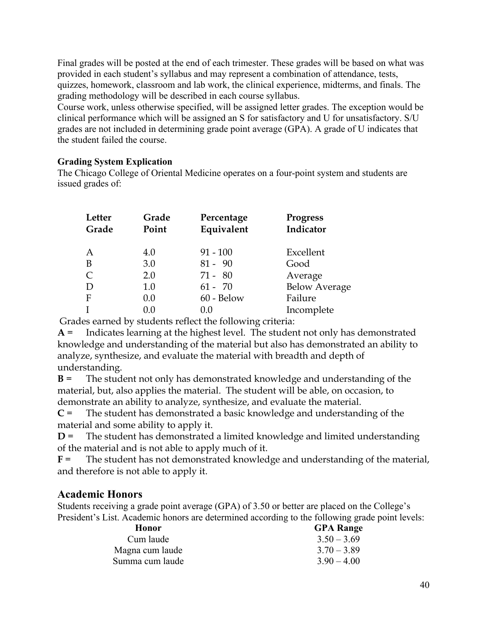Final grades will be posted at the end of each trimester. These grades will be based on what was provided in each student's syllabus and may represent a combination of attendance, tests, quizzes, homework, classroom and lab work, the clinical experience, midterms, and finals. The grading methodology will be described in each course syllabus.

Course work, unless otherwise specified, will be assigned letter grades. The exception would be clinical performance which will be assigned an S for satisfactory and U for unsatisfactory. S/U grades are not included in determining grade point average (GPA). A grade of U indicates that the student failed the course.

#### **Grading System Explication**

The Chicago College of Oriental Medicine operates on a four-point system and students are issued grades of:

| Letter<br>Grade  | Grade<br>Point | Percentage<br>Equivalent | <b>Progress</b><br>Indicator |
|------------------|----------------|--------------------------|------------------------------|
| $\boldsymbol{A}$ | 4.0            | $91 - 100$               | Excellent                    |
| B                | 3.0            | $81 - 90$                | Good                         |
| $\mathsf{C}$     | 2.0            | $71 - 80$                | Average                      |
| D                | 1.0            | $61 - 70$                | <b>Below Average</b>         |
| F                | 0.0            | 60 - Below               | Failure                      |
| $\mathbf{I}$     | 0.0            | 0.0                      | Incomplete                   |

Grades earned by students reflect the following criteria:

**A** = Indicates learning at the highest level. The student not only has demonstrated knowledge and understanding of the material but also has demonstrated an ability to analyze, synthesize, and evaluate the material with breadth and depth of understanding.

**B** = The student not only has demonstrated knowledge and understanding of the material, but, also applies the material. The student will be able, on occasion, to demonstrate an ability to analyze, synthesize, and evaluate the material.

**C** = The student has demonstrated a basic knowledge and understanding of the material and some ability to apply it.

**D** = The student has demonstrated a limited knowledge and limited understanding of the material and is not able to apply much of it.

**F** = The student has not demonstrated knowledge and understanding of the material, and therefore is not able to apply it.

### **Academic Honors**

Students receiving a grade point average (GPA) of 3.50 or better are placed on the College's President's List. Academic honors are determined according to the following grade point levels:

| Honor           | <b>GPA</b> Range |
|-----------------|------------------|
| Cum laude       | $3.50 - 3.69$    |
| Magna cum laude | $3.70 - 3.89$    |
| Summa cum laude | $390 - 400$      |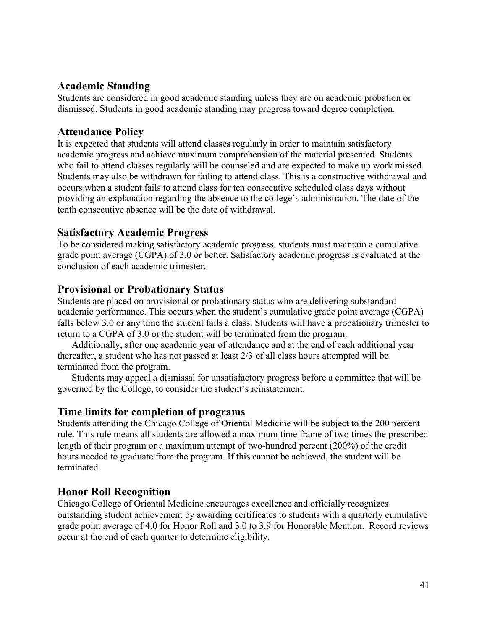### **Academic Standing**

Students are considered in good academic standing unless they are on academic probation or dismissed. Students in good academic standing may progress toward degree completion.

### **Attendance Policy**

It is expected that students will attend classes regularly in order to maintain satisfactory academic progress and achieve maximum comprehension of the material presented. Students who fail to attend classes regularly will be counseled and are expected to make up work missed. Students may also be withdrawn for failing to attend class. This is a constructive withdrawal and occurs when a student fails to attend class for ten consecutive scheduled class days without providing an explanation regarding the absence to the college's administration. The date of the tenth consecutive absence will be the date of withdrawal.

### **Satisfactory Academic Progress**

To be considered making satisfactory academic progress, students must maintain a cumulative grade point average (CGPA) of 3.0 or better. Satisfactory academic progress is evaluated at the conclusion of each academic trimester.

### **Provisional or Probationary Status**

Students are placed on provisional or probationary status who are delivering substandard academic performance. This occurs when the student's cumulative grade point average (CGPA) falls below 3.0 or any time the student fails a class. Students will have a probationary trimester to return to a CGPA of 3.0 or the student will be terminated from the program.

Additionally, after one academic year of attendance and at the end of each additional year thereafter, a student who has not passed at least 2/3 of all class hours attempted will be terminated from the program.

Students may appeal a dismissal for unsatisfactory progress before a committee that will be governed by the College, to consider the student's reinstatement.

### **Time limits for completion of programs**

Students attending the Chicago College of Oriental Medicine will be subject to the 200 percent rule. This rule means all students are allowed a maximum time frame of two times the prescribed length of their program or a maximum attempt of two-hundred percent (200%) of the credit hours needed to graduate from the program. If this cannot be achieved, the student will be terminated.

### **Honor Roll Recognition**

Chicago College of Oriental Medicine encourages excellence and officially recognizes outstanding student achievement by awarding certificates to students with a quarterly cumulative grade point average of 4.0 for Honor Roll and 3.0 to 3.9 for Honorable Mention. Record reviews occur at the end of each quarter to determine eligibility.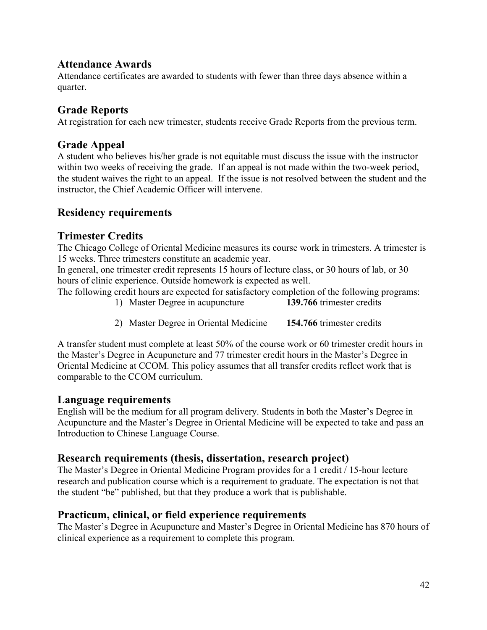### **Attendance Awards**

Attendance certificates are awarded to students with fewer than three days absence within a quarter.

## **Grade Reports**

At registration for each new trimester, students receive Grade Reports from the previous term.

### **Grade Appeal**

A student who believes his/her grade is not equitable must discuss the issue with the instructor within two weeks of receiving the grade. If an appeal is not made within the two-week period, the student waives the right to an appeal. If the issue is not resolved between the student and the instructor, the Chief Academic Officer will intervene.

## **Residency requirements**

### **Trimester Credits**

The Chicago College of Oriental Medicine measures its course work in trimesters. A trimester is 15 weeks. Three trimesters constitute an academic year.

In general, one trimester credit represents 15 hours of lecture class, or 30 hours of lab, or 30 hours of clinic experience. Outside homework is expected as well.

The following credit hours are expected for satisfactory completion of the following programs:

- 1) Master Degree in acupuncture **139.766** trimester credits
- 2) Master Degree in Oriental Medicine **154.766** trimester credits

A transfer student must complete at least 50% of the course work or 60 trimester credit hours in the Master's Degree in Acupuncture and 77 trimester credit hours in the Master's Degree in Oriental Medicine at CCOM. This policy assumes that all transfer credits reflect work that is comparable to the CCOM curriculum.

### **Language requirements**

English will be the medium for all program delivery. Students in both the Master's Degree in Acupuncture and the Master's Degree in Oriental Medicine will be expected to take and pass an Introduction to Chinese Language Course.

### **Research requirements (thesis, dissertation, research project)**

The Master's Degree in Oriental Medicine Program provides for a 1 credit / 15-hour lecture research and publication course which is a requirement to graduate. The expectation is not that the student "be" published, but that they produce a work that is publishable.

### **Practicum, clinical, or field experience requirements**

The Master's Degree in Acupuncture and Master's Degree in Oriental Medicine has 870 hours of clinical experience as a requirement to complete this program.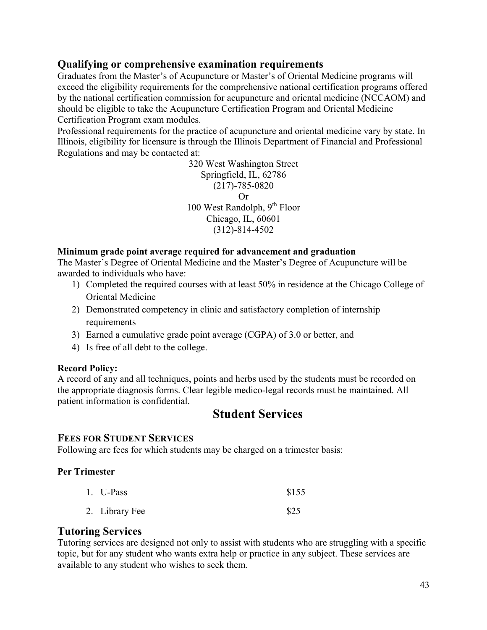### **Qualifying or comprehensive examination requirements**

Graduates from the Master's of Acupuncture or Master's of Oriental Medicine programs will exceed the eligibility requirements for the comprehensive national certification programs offered by the national certification commission for acupuncture and oriental medicine (NCCAOM) and should be eligible to take the Acupuncture Certification Program and Oriental Medicine Certification Program exam modules.

Professional requirements for the practice of acupuncture and oriental medicine vary by state. In Illinois, eligibility for licensure is through the Illinois Department of Financial and Professional Regulations and may be contacted at:

> 320 West Washington Street Springfield, IL, 62786 (217)-785-0820 Or 100 West Randolph,  $9^{th}$  Floor Chicago, IL, 60601 (312)-814-4502

#### **Minimum grade point average required for advancement and graduation**

The Master's Degree of Oriental Medicine and the Master's Degree of Acupuncture will be awarded to individuals who have:

- 1) Completed the required courses with at least 50% in residence at the Chicago College of Oriental Medicine
- 2) Demonstrated competency in clinic and satisfactory completion of internship requirements
- 3) Earned a cumulative grade point average (CGPA) of 3.0 or better, and
- 4) Is free of all debt to the college.

#### **Record Policy:**

A record of any and all techniques, points and herbs used by the students must be recorded on the appropriate diagnosis forms. Clear legible medico-legal records must be maintained. All patient information is confidential.

## **Student Services**

#### **FEES FOR STUDENT SERVICES**

Following are fees for which students may be charged on a trimester basis:

#### **Per Trimester**

| 1. U-Pass      | \$155 |
|----------------|-------|
| 2. Library Fee | \$25  |

#### **Tutoring Services**

Tutoring services are designed not only to assist with students who are struggling with a specific topic, but for any student who wants extra help or practice in any subject. These services are available to any student who wishes to seek them.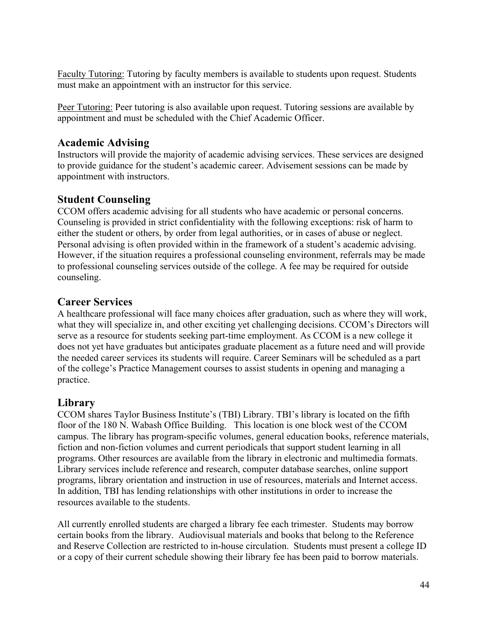Faculty Tutoring: Tutoring by faculty members is available to students upon request. Students must make an appointment with an instructor for this service.

Peer Tutoring: Peer tutoring is also available upon request. Tutoring sessions are available by appointment and must be scheduled with the Chief Academic Officer.

### **Academic Advising**

Instructors will provide the majority of academic advising services. These services are designed to provide guidance for the student's academic career. Advisement sessions can be made by appointment with instructors.

### **Student Counseling**

CCOM offers academic advising for all students who have academic or personal concerns. Counseling is provided in strict confidentiality with the following exceptions: risk of harm to either the student or others, by order from legal authorities, or in cases of abuse or neglect. Personal advising is often provided within in the framework of a student's academic advising. However, if the situation requires a professional counseling environment, referrals may be made to professional counseling services outside of the college. A fee may be required for outside counseling.

### **Career Services**

A healthcare professional will face many choices after graduation, such as where they will work, what they will specialize in, and other exciting yet challenging decisions. CCOM's Directors will serve as a resource for students seeking part-time employment. As CCOM is a new college it does not yet have graduates but anticipates graduate placement as a future need and will provide the needed career services its students will require. Career Seminars will be scheduled as a part of the college's Practice Management courses to assist students in opening and managing a practice.

### **Library**

CCOM shares Taylor Business Institute's (TBI) Library. TBI's library is located on the fifth floor of the 180 N. Wabash Office Building. This location is one block west of the CCOM campus. The library has program-specific volumes, general education books, reference materials, fiction and non-fiction volumes and current periodicals that support student learning in all programs. Other resources are available from the library in electronic and multimedia formats. Library services include reference and research, computer database searches, online support programs, library orientation and instruction in use of resources, materials and Internet access. In addition, TBI has lending relationships with other institutions in order to increase the resources available to the students.

All currently enrolled students are charged a library fee each trimester. Students may borrow certain books from the library. Audiovisual materials and books that belong to the Reference and Reserve Collection are restricted to in-house circulation. Students must present a college ID or a copy of their current schedule showing their library fee has been paid to borrow materials.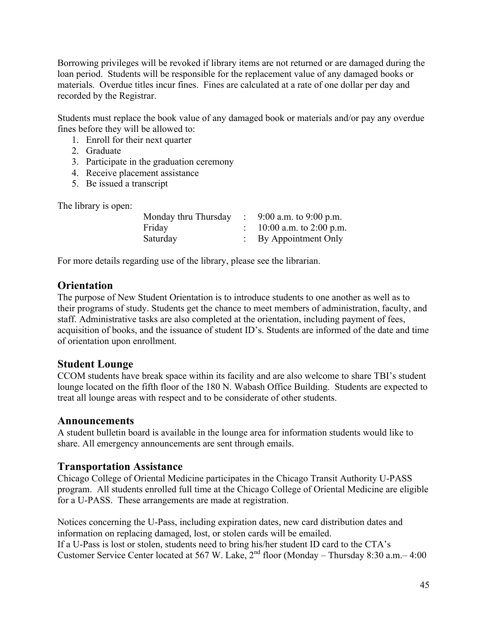Borrowing privileges will be revoked if library items are not returned or are damaged during the loan period. Students will be responsible for the replacement value of any damaged books or materials. Overdue titles incur fines. Fines are calculated at a rate of one dollar per day and recorded by the Registrar.

Students must replace the book value of any damaged book or materials and/or pay any overdue fines before they will be allowed to:

- 1. Enroll for their next quarter
- 2. Graduate
- 3. Participate in the graduation ceremony
- 4. Receive placement assistance
- 5. Be issued a transcript

The library is open:

| Monday thru Thursday | 9:00 a.m. to 9:00 p.m.  |
|----------------------|-------------------------|
| Friday               | 10:00 a.m. to 2:00 p.m. |
| Saturday             | By Appointment Only     |

For more details regarding use of the library, please see the librarian.

### **Orientation**

The purpose of New Student Orientation is to introduce students to one another as well as to their programs of study. Students get the chance to meet members of administration, faculty, and staff. Administrative tasks are also completed at the orientation, including payment of fees, acquisition of books, and the issuance of student ID's. Students are informed of the date and time of orientation upon enrollment.

### **Student Lounge**

CCOM students have break space within its facility and are also welcome to share TBI's student lounge located on the fifth floor of the 180 N. Wabash Office Building. Students are expected to treat all lounge areas with respect and to be considerate of other students.

#### **Announcements**

A student bulletin board is available in the lounge area for information students would like to share. All emergency announcements are sent through emails.

### **Transportation Assistance**

Chicago College of Oriental Medicine participates in the Chicago Transit Authority U-PASS program. All students enrolled full time at the Chicago College of Oriental Medicine are eligible for a U-PASS. These arrangements are made at registration.

Notices concerning the U-Pass, including expiration dates, new card distribution dates and information on replacing damaged, lost, or stolen cards will be emailed. If a U-Pass is lost or stolen, students need to bring his/her student ID card to the CTA's Customer Service Center located at 567 W. Lake,  $2^{nd}$  floor (Monday – Thursday 8:30 a.m.– 4:00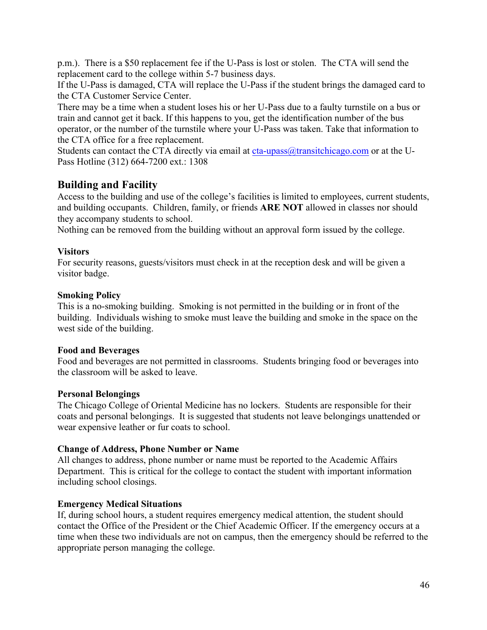p.m.). There is a \$50 replacement fee if the U-Pass is lost or stolen. The CTA will send the replacement card to the college within 5-7 business days.

If the U-Pass is damaged, CTA will replace the U-Pass if the student brings the damaged card to the CTA Customer Service Center.

There may be a time when a student loses his or her U-Pass due to a faulty turnstile on a bus or train and cannot get it back. If this happens to you, get the identification number of the bus operator, or the number of the turnstile where your U-Pass was taken. Take that information to the CTA office for a free replacement.

Students can contact the CTA directly via email at  $cta$ -upass $@$ transitchicago.com or at the U-Pass Hotline (312) 664-7200 ext.: 1308

### **Building and Facility**

Access to the building and use of the college's facilities is limited to employees, current students, and building occupants. Children, family, or friends **ARE NOT** allowed in classes nor should they accompany students to school.

Nothing can be removed from the building without an approval form issued by the college.

#### **Visitors**

For security reasons, guests/visitors must check in at the reception desk and will be given a visitor badge.

#### **Smoking Policy**

This is a no-smoking building. Smoking is not permitted in the building or in front of the building. Individuals wishing to smoke must leave the building and smoke in the space on the west side of the building.

#### **Food and Beverages**

Food and beverages are not permitted in classrooms. Students bringing food or beverages into the classroom will be asked to leave.

#### **Personal Belongings**

The Chicago College of Oriental Medicine has no lockers. Students are responsible for their coats and personal belongings. It is suggested that students not leave belongings unattended or wear expensive leather or fur coats to school.

#### **Change of Address, Phone Number or Name**

All changes to address, phone number or name must be reported to the Academic Affairs Department. This is critical for the college to contact the student with important information including school closings.

#### **Emergency Medical Situations**

If, during school hours, a student requires emergency medical attention, the student should contact the Office of the President or the Chief Academic Officer. If the emergency occurs at a time when these two individuals are not on campus, then the emergency should be referred to the appropriate person managing the college.